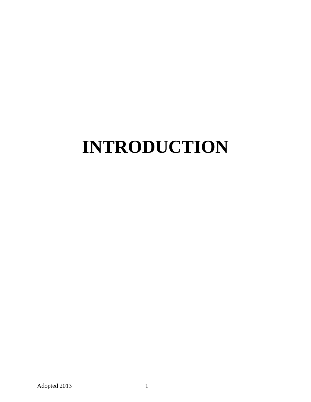# **INTRODUCTION**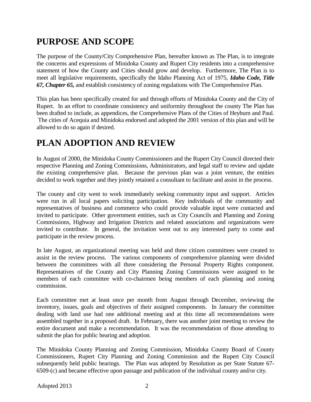# **PURPOSE AND SCOPE**

The purpose of the County/City Comprehensive Plan, hereafter known as The Plan, is to integrate the concerns and expressions of Minidoka County and Rupert City residents into a comprehensive statement of how the County and Cities should grow and develop. Furthermore, The Plan is to meet all legislative requirements, specifically the Idaho Planning Act of 1975, *Idaho Code, Title 67, Chapter 65,* and establish consistency of zoning regulations with The Comprehensive Plan.

This plan has been specifically created for and through efforts of Minidoka County and the City of Rupert. In an effort to coordinate consistency and uniformity throughout the county The Plan has been drafted to include, as appendices, the Comprehensive Plans of the Cities of Heyburn and Paul. The cities of Acequia and Minidoka endorsed and adopted the 2001 version of this plan and will be allowed to do so again if desired.

# **PLAN ADOPTION AND REVIEW**

In August of 2000, the Minidoka County Commissioners and the Rupert City Council directed their respective Planning and Zoning Commissions, Administrators, and legal staff to review and update the existing comprehensive plan. Because the previous plan was a joint venture, the entities decided to work together and they jointly retained a consultant to facilitate and assist in the process.

The county and city went to work immediately seeking community input and support. Articles were run in all local papers soliciting participation. Key individuals of the community and representatives of business and commerce who could provide valuable input were contacted and invited to participate. Other government entities, such as City Councils and Planning and Zoning Commissions, Highway and Irrigation Districts and related associations and organizations were invited to contribute. In general, the invitation went out to any interested party to come and participate in the review process.

In late August, an organizational meeting was held and three citizen committees were created to assist in the review process. The various components of comprehensive planning were divided between the committees with all three considering the Personal Property Rights component. Representatives of the County and City Planning Zoning Commissions were assigned to be members of each committee with co-chairmen being members of each planning and zoning commission.

Each committee met at least once per month from August through December, reviewing the inventory, issues, goals and objectives of their assigned components. In January the committee dealing with land use had one additional meeting and at this time all recommendations were assembled together in a proposed draft. In February, there was another joint meeting to review the entire document and make a recommendation. It was the recommendation of those attending to submit the plan for public hearing and adoption.

The Minidoka County Planning and Zoning Commission, Minidoka County Board of County Commissioners, Rupert City Planning and Zoning Commission and the Rupert City Council subsequently held public hearings. The Plan was adopted by Resolution as per State Statute 67- 6509-(c) and became effective upon passage and publication of the individual county and/or city.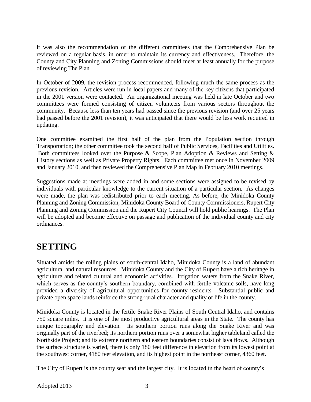It was also the recommendation of the different committees that the Comprehensive Plan be reviewed on a regular basis, in order to maintain its currency and effectiveness. Therefore, the County and City Planning and Zoning Commissions should meet at least annually for the purpose of reviewing The Plan.

In October of 2009, the revision process recommenced, following much the same process as the previous revision. Articles were run in local papers and many of the key citizens that participated in the 2001 version were contacted. An organizational meeting was held in late October and two committees were formed consisting of citizen volunteers from various sectors throughout the community. Because less than ten years had passed since the previous revision (and over 25 years had passed before the 2001 revision), it was anticipated that there would be less work required in updating.

One committee examined the first half of the plan from the Population section through Transportation; the other committee took the second half of Public Services, Facilities and Utilities. Both committees looked over the Purpose & Scope, Plan Adoption & Reviews and Setting & History sections as well as Private Property Rights. Each committee met once in November 2009 and January 2010, and then reviewed the Comprehensive Plan Map in February 2010 meetings.

Suggestions made at meetings were added in and some sections were assigned to be revised by individuals with particular knowledge to the current situation of a particular section. As changes were made, the plan was redistributed prior to each meeting. As before, the Minidoka County Planning and Zoning Commission, Minidoka County Board of County Commissioners, Rupert City Planning and Zoning Commission and the Rupert City Council will hold public hearings. The Plan will be adopted and become effective on passage and publication of the individual county and city ordinances.

## **SETTING**

Situated amidst the rolling plains of south-central Idaho, Minidoka County is a land of abundant agricultural and natural resources. Minidoka County and the City of Rupert have a rich heritage in agriculture and related cultural and economic activities. Irrigation waters from the Snake River, which serves as the county's southern boundary, combined with fertile volcanic soils, have long provided a diversity of agricultural opportunities for county residents. Substantial public and private open space lands reinforce the strong-rural character and quality of life in the county.

Minidoka County is located in the fertile Snake River Plains of South Central Idaho, and contains 750 square miles. It is one of the most productive agricultural areas in the State. The county has unique topography and elevation. Its southern portion runs along the Snake River and was originally part of the riverbed; its northern portion runs over a somewhat higher tableland called the Northside Project; and its extreme northern and eastern boundaries consist of lava flows. Although the surface structure is varied, there is only 180 feet difference in elevation from its lowest point at the southwest corner, 4180 feet elevation, and its highest point in the northeast corner, 4360 feet.

The City of Rupert is the county seat and the largest city. It is located in the heart of county's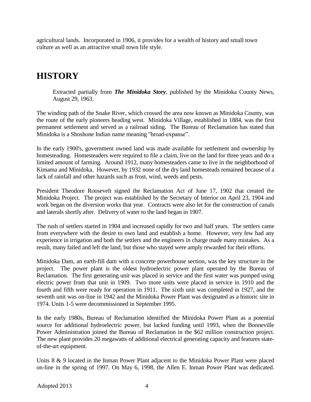agricultural lands. Incorporated in 1906, it provides for a wealth of history and small town culture as well as an attractive small town life style.

## **HISTORY**

Extracted partially from *The Minidoka Story*, published by the Minidoka County News, August 29, 1963.

The winding path of the Snake River, which crossed the area now known as Minidoka County, was the route of the early pioneers heading west. Minidoka Village, established in 1884, was the first permanent settlement and served as a railroad siding. The Bureau of Reclamation has stated that Minidoka is a Shoshone Indian name meaning "broad-expanse".

In the early 1900's, government owned land was made available for settlement and ownership by homesteading. Homesteaders were required to file a claim, live on the land for three years and do a limited amount of farming. Around 1912, many homesteaders came to live in the neighborhood of Kimama and Minidoka. However, by 1932 none of the dry land homesteads remained because of a lack of rainfall and other hazards such as frost, wind, weeds and pests.

President Theodore Roosevelt signed the Reclamation Act of June 17, 1902 that created the Minidoka Project. The project was established by the Secretary of Interior on April 23, 1904 and work began on the diversion works that year. Contracts were also let for the construction of canals and laterals shortly after. Delivery of water to the land began in 1907.

The rush of settlers started in 1904 and increased rapidly for two and half years. The settlers came from everywhere with the desire to own land and establish a home. However, very few had any experience in irrigation and both the settlers and the engineers in charge made many mistakes. As a result, many failed and left the land, but those who stayed were amply rewarded for their efforts.

Minidoka Dam, an earth-fill dam with a concrete powerhouse section, was the key structure in the project. The power plant is the oldest hydroelectric power plant operated by the Bureau of Reclamation. The first generating unit was placed in service and the first water was pumped using electric power from that unit in 1909. Two more units were placed in service in 1910 and the fourth and fifth were ready for operation in 1911. The sixth unit was completed in 1927, and the seventh unit was on-line in 1942 and the Minidoka Power Plant was designated as a historic site in 1974. Units 1-5 were decommissioned in September 1995.

In the early 1980s, Bureau of Reclamation identified the Minidoka Power Plant as a potential source for additional hydroelectric power, but lacked funding until 1993, when the Bonneville Power Administration joined the Bureau of Reclamation in the \$62 million construction project. The new plant provides 20 megawatts of additional electrical generating capacity and features stateof-the-art equipment.

Units 8 & 9 located in the Inman Power Plant adjacent to the Minidoka Power Plant were placed on-line in the spring of 1997. On May 6, 1998, the Allen E. Inman Power Plant was dedicated.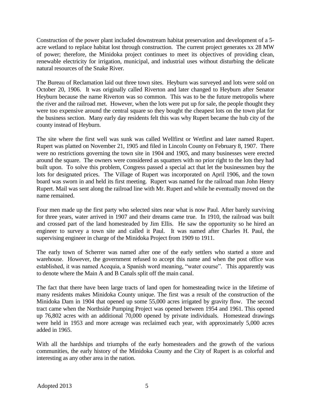Construction of the power plant included downstream habitat preservation and development of a 5 acre wetland to replace habitat lost through construction. The current project generates xx 28 MW of power; therefore, the Minidoka project continues to meet its objectives of providing clean, renewable electricity for irrigation, municipal, and industrial uses without disturbing the delicate natural resources of the Snake River.

The Bureau of Reclamation laid out three town sites. Heyburn was surveyed and lots were sold on October 20, 1906. It was originally called Riverton and later changed to Heyburn after Senator Heyburn because the name Riverton was so common. This was to be the future metropolis where the river and the railroad met. However, when the lots were put up for sale, the people thought they were too expensive around the central square so they bought the cheapest lots on the town plat for the business section. Many early day residents felt this was why Rupert became the hub city of the county instead of Heyburn.

The site where the first well was sunk was called Wellfirst or Wetfirst and later named Rupert. Rupert was platted on November 21, 1905 and filed in Lincoln County on February 8, 1907. There were no restrictions governing the town site in 1904 and 1905, and many businesses were erected around the square. The owners were considered as squatters with no prior right to the lots they had built upon. To solve this problem, Congress passed a special act that let the businessmen buy the lots for designated prices. The Village of Rupert was incorporated on April 1906, and the town board was sworn in and held its first meeting. Rupert was named for the railroad man John Henry Rupert. Mail was sent along the railroad line with Mr. Rupert and while he eventually moved on the name remained.

Four men made up the first party who selected sites near what is now Paul. After barely surviving for three years, water arrived in 1907 and their dreams came true. In 1910, the railroad was built and crossed part of the land homesteaded by Jim Ellis. He saw the opportunity so he hired an engineer to survey a town site and called it Paul. It was named after Charles H. Paul, the supervising engineer in charge of the Minidoka Project from 1909 to 1911.

The early town of Scherrer was named after one of the early settlers who started a store and warehouse. However, the government refused to accept this name and when the post office was established, it was named Acequia, a Spanish word meaning, "water course". This apparently was to denote where the Main A and B Canals split off the main canal.

The fact that there have been large tracts of land open for homesteading twice in the lifetime of many residents makes Minidoka County unique. The first was a result of the construction of the Minidoka Dam in 1904 that opened up some 55,000 acres irrigated by gravity flow. The second tract came when the Northside Pumping Project was opened between 1954 and 1961. This opened up 76,802 acres with an additional 70,000 opened by private individuals. Homestead drawings were held in 1953 and more acreage was reclaimed each year, with approximately 5,000 acres added in 1965.

With all the hardships and triumphs of the early homesteaders and the growth of the various communities, the early history of the Minidoka County and the City of Rupert is as colorful and interesting as any other area in the nation.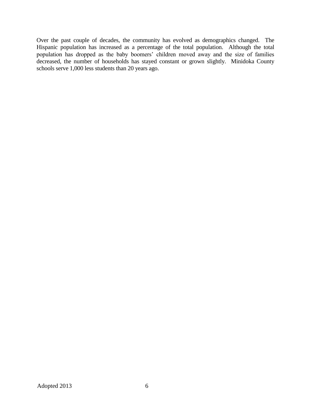Over the past couple of decades, the community has evolved as demographics changed. The Hispanic population has increased as a percentage of the total population. Although the total population has dropped as the baby boomers' children moved away and the size of families decreased, the number of households has stayed constant or grown slightly. Minidoka County schools serve 1,000 less students than 20 years ago.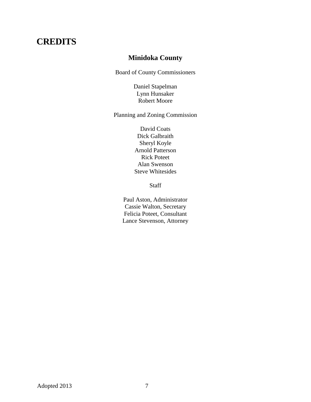# **CREDITS**

## **Minidoka County**

Board of County Commissioners

Daniel Stapelman Lynn Hunsaker Robert Moore

Planning and Zoning Commission

David Coats Dick Galbraith Sheryl Koyle Arnold Patterson Rick Poteet Alan Swenson Steve Whitesides

Staff

Paul Aston, Administrator Cassie Walton, Secretary Felicia Poteet, Consultant Lance Stevenson, Attorney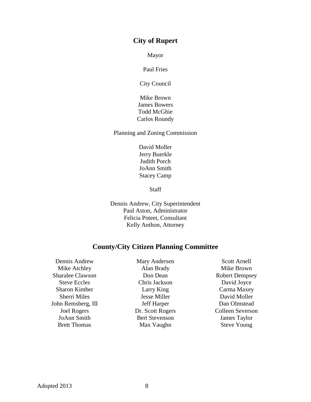#### **City of Rupert**

Mayor

Paul Fries

City Council

Mike Brown James Bowers Todd McGhie Carlos Roundy

Planning and Zoning Commission

David Moller Jerry Buerkle Judith Porch JoAnn Smith Stacey Camp

**Staff** 

Dennis Andrew, City Superintendent Paul Aston, Administrator Felicia Poteet, Consultant Kelly Anthon, Attorney

## **County/City Citizen Planning Committee**

Dennis Andrew Mary Andersen Scott Arnell Sharalee Clawson Don Dean Robert Dempsey Sharon Kimber Larry King Carma Maxey John Remsberg, III Jeff Harper Dan Olmstead

Mike Atchley **Alan Brady** Mike Brown Steve Eccles Chris Jackson David Joyce Sherri Miles **IESSE** Jesse Miller **David Moller** Joel Rogers Dr. Scott Rogers Colleen Severson JoAnn Smith Bert Stevenson James Taylor Brett Thomas Max Vaughn Steve Young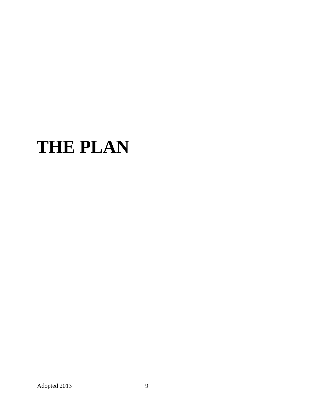# **THE PLAN**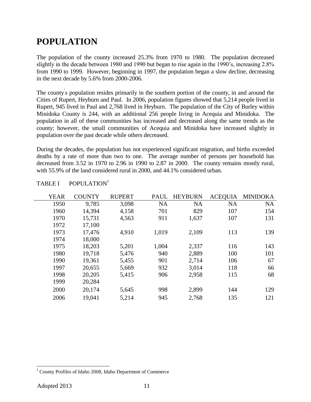# **POPULATION**

The population of the county increased 25.3% from 1970 to 1980. The population decreased slightly in the decade between 1980 and 1990 but began to rise again in the 1990's, increasing 2.8% from 1990 to 1999. However, beginning in 1997, the population began a slow decline, decreasing in the next decade by 5.6% from 2000-2006.

The county' s population resides primarily in the southern portion of the county, in and around the Cities of Rupert, Heyburn and Paul. In 2006, population figures showed that 5,214 people lived in Rupert, 945 lived in Paul and 2,768 lived in Heyburn. The population of the City of Burley within Minidoka County is 244, with an additional 256 people living in Acequia and Minidoka. The population in all of these communities has increased and decreased along the same trends as the county; however, the small communities of Acequia and Minidoka have increased slightly in population over the past decade while others decreased.

During the decades, the population has not experienced significant migration, and births exceeded deaths by a rate of more than two to one. The average number of persons per household has decreased from 3.52 in 1970 to 2.96 in 1990 to 2.87 in 2000. The county remains mostly rural, with 55.9% of the land considered rural in 2000, and 44.1% considered urban.

| <b>YEAR</b> | <b>COUNTY</b> | <b>RUPERT</b> | <b>PAUL</b> | <b>HEYBURN</b> | <b>ACEQUIA</b> | <b>MINIDOKA</b> |
|-------------|---------------|---------------|-------------|----------------|----------------|-----------------|
| 1950        | 9,785         | 3,098         | <b>NA</b>   | <b>NA</b>      | <b>NA</b>      | <b>NA</b>       |
| 1960        | 14,394        | 4,158         | 701         | 829            | 107            | 154             |
| 1970        | 15,731        | 4,563         | 911         | 1,637          | 107            | 131             |
| 1972        | 17,100        |               |             |                |                |                 |
| 1973        | 17,476        | 4,910         | 1,019       | 2,109          | 113            | 139             |
| 1974        | 18,000        |               |             |                |                |                 |
| 1975        | 18,203        | 5,201         | 1,004       | 2,337          | 116            | 143             |
| 1980        | 19,718        | 5,476         | 940         | 2,889          | 100            | 101             |
| 1990        | 19,361        | 5,455         | 901         | 2,714          | 106            | 67              |
| 1997        | 20,655        | 5,669         | 932         | 3,014          | 118            | 66              |
| 1998        | 20,205        | 5,415         | 906         | 2,958          | 115            | 68              |
| 1999        | 20,284        |               |             |                |                |                 |
| 2000        | 20,174        | 5,645         | 998         | 2,899          | 144            | 129             |
| 2006        | 19,041        | 5,214         | 945         | 2,768          | 135            | 121             |

TABLE I POPULATION<sup>1</sup>

<sup>1</sup> County Profiles of Idaho 2008, Idaho Department of Commerce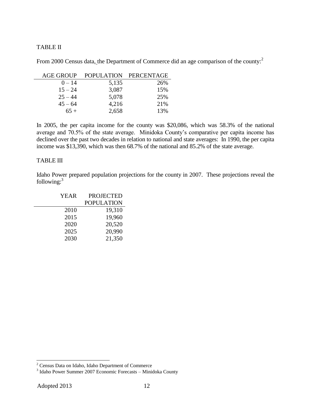#### TABLE II

From 2000 Census data, the Department of Commerce did an age comparison of the county:<sup>2</sup>

| <b>AGE GROUP</b> |       | POPULATION PERCENTAGE |
|------------------|-------|-----------------------|
| $0 - 14$         | 5,135 | 26%                   |
| $15 - 24$        | 3,087 | 15%                   |
| $25 - 44$        | 5,078 | 25%                   |
| $45 - 64$        | 4,216 | 21%                   |
| $65+$            | 2,658 | 13%                   |

In 2005, the per capita income for the county was \$20,086, which was 58.3% of the national average and 70.5% of the state average. Minidoka County's comparative per capita income has declined over the past two decades in relation to national and state averages: In 1990, the per capita income was \$13,390, which was then 68.7% of the national and 85.2% of the state average.

#### TABLE III

Idaho Power prepared population projections for the county in 2007. These projections reveal the following:<sup>3</sup>

| <b>YEAR</b> | <b>PROJECTED</b>  |
|-------------|-------------------|
|             | <b>POPULATION</b> |
| 2010        | 19,310            |
| 2015        | 19,960            |
| 2020        | 20,520            |
| 2025        | 20,990            |
| 2030        | 21,350            |

 $2$  Census Data on Idaho, Idaho Department of Commerce

<sup>3</sup> Idaho Power Summer 2007 Economic Forecasts – Minidoka County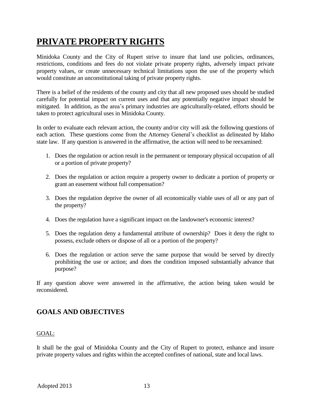# **PRIVATE PROPERTY RIGHTS**

Minidoka County and the City of Rupert strive to insure that land use policies, ordinances, restrictions, conditions and fees do not violate private property rights, adversely impact private property values, or create unnecessary technical limitations upon the use of the property which would constitute an unconstitutional taking of private property rights.

There is a belief of the residents of the county and city that all new proposed uses should be studied carefully for potential impact on current uses and that any potentially negative impact should be mitigated. In addition, as the area's primary industries are agriculturally-related, efforts should be taken to protect agricultural uses in Minidoka County.

In order to evaluate each relevant action, the county and/or city will ask the following questions of each action. These questions come from the Attorney General's checklist as delineated by Idaho state law. If any question is answered in the affirmative, the action will need to be reexamined:

- 1. Does the regulation or action result in the permanent or temporary physical occupation of all or a portion of private property?
- 2. Does the regulation or action require a property owner to dedicate a portion of property or grant an easement without full compensation?
- 3. Does the regulation deprive the owner of all economically viable uses of all or any part of the property?
- 4. Does the regulation have a significant impact on the landowner's economic interest?
- 5. Does the regulation deny a fundamental attribute of ownership? Does it deny the right to possess, exclude others or dispose of all or a portion of the property?
- 6. Does the regulation or action serve the same purpose that would be served by directly prohibiting the use or action; and does the condition imposed substantially advance that purpose?

If any question above were answered in the affirmative, the action being taken would be reconsidered.

## **GOALS AND OBJECTIVES**

### GOAL:

It shall be the goal of Minidoka County and the City of Rupert to protect, enhance and insure private property values and rights within the accepted confines of national, state and local laws.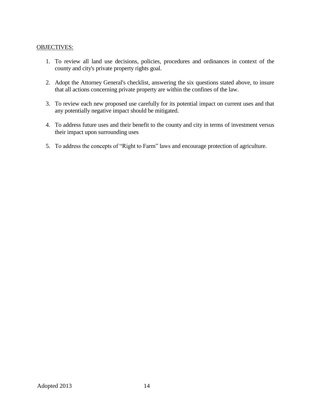#### OBJECTIVES:

- 1. To review all land use decisions, policies, procedures and ordinances in context of the county and city's private property rights goal.
- 2. Adopt the Attorney General's checklist, answering the six questions stated above, to insure that all actions concerning private property are within the confines of the law.
- 3. To review each new proposed use carefully for its potential impact on current uses and that any potentially negative impact should be mitigated.
- 4. To address future uses and their benefit to the county and city in terms of investment versus their impact upon surrounding uses
- 5. To address the concepts of "Right to Farm" laws and encourage protection of agriculture.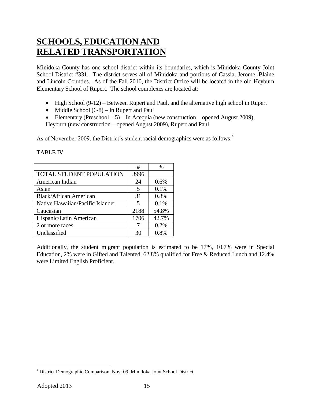# **SCHOOLS, EDUCATION AND RELATED TRANSPORTATION**

Minidoka County has one school district within its boundaries, which is Minidoka County Joint School District #331. The district serves all of Minidoka and portions of Cassia, Jerome, Blaine and Lincoln Counties. As of the Fall 2010, the District Office will be located in the old Heyburn Elementary School of Rupert. The school complexes are located at:

- High School (9-12) Between Rupert and Paul, and the alternative high school in Rupert
- $\bullet$  Middle School (6-8) In Rupert and Paul
- Elementary (Preschool 5) In Acequia (new construction—opened August 2009),

Heyburn (new construction—opened August 2009), Rupert and Paul

As of November 2009, the District's student racial demographics were as follows:<sup>4</sup>

|                                  | #    | $\%$  |
|----------------------------------|------|-------|
| TOTAL STUDENT POPULATION         | 3996 |       |
| American Indian                  | 24   | 0.6%  |
| Asian                            | 5    | 0.1%  |
| <b>Black/African American</b>    | 31   | 0.8%  |
| Native Hawaiian/Pacific Islander | 5    | 0.1%  |
| Caucasian                        | 2188 | 54.8% |
| Hispanic/Latin American          | 1706 | 42.7% |
| 2 or more races                  |      | 0.2%  |
| Unclassified                     | 30   | 0.8%  |

#### TABLE IV

Additionally, the student migrant population is estimated to be 17%, 10.7% were in Special Education, 2% were in Gifted and Talented, 62.8% qualified for Free & Reduced Lunch and 12.4% were Limited English Proficient.

<sup>4</sup> District Demographic Comparison, Nov. 09, Minidoka Joint School District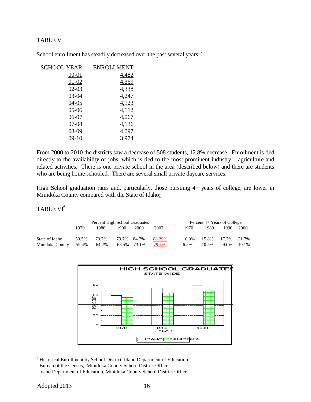#### TABLE V

| School enrollment has steadily decreased over the past several years: <sup>3</sup> |  |  |  |
|------------------------------------------------------------------------------------|--|--|--|
|                                                                                    |  |  |  |
|                                                                                    |  |  |  |

| <b>SCHOOL YEAR</b> | <b>ENROLLMENT</b> |
|--------------------|-------------------|
| 00-01              | 4,482             |
| 01-02              | 4,369             |
| 02-03              | 4,338             |
| 03-04              | 4,247             |
| 04-05              | 4,123             |
| 05-06              | 4,112             |
| 06-07              | 4,067             |
| $07-08$            | 4,136             |
| 08-09              | 4,097             |
| $09-10$            | 3,974             |

From 2000 to 2010 the districts saw a decrease of 508 students, 12.8% decrease. Enrollment is tied directly to the availability of jobs, which is tied to the most prominent industry – agriculture and related activities. There is one private school in the area (described below) and there are students who are being home schooled. There are several small private daycare services.

High School graduation rates and, particularly, those pursuing 4+ years of college, are lower in Minidoka County compared with the State of Idaho:

#### TABLE VI<sup>6</sup>

|                                   | Percent High School Graduates |                |             |             |                 |                  | Percent 4+ Years of College |               |                |
|-----------------------------------|-------------------------------|----------------|-------------|-------------|-----------------|------------------|-----------------------------|---------------|----------------|
|                                   | 1970.                         | 1980           | 1990.       | 2000        | 2007            | 1970.            | 1980                        | 1990          | 2000           |
| State of Idaho<br>Minidoka County | 59.5%<br>55.4%                | 73.7%<br>64.2% | 79.7% 84.7% | 68.5% 73.1% | 88.29%<br>79.8% | 10.0%<br>$6.5\%$ | 15.8%<br>10.5%              | 17.7%<br>9.0% | 21.7%<br>10.1% |



<sup>&</sup>lt;sup>5</sup> Historical Enrollment by School District, Idaho Department of Education

l

<sup>6</sup> Bureau of the Census, Minidoka County School District Office

Idaho Department of Education, Minidoka County School District Office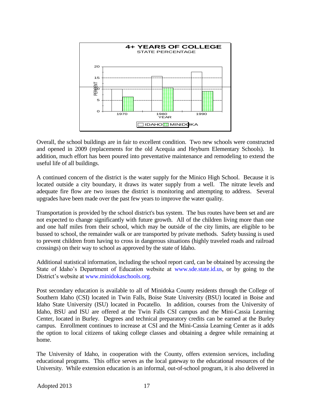

Overall, the school buildings are in fair to excellent condition. Two new schools were constructed and opened in 2009 (replacements for the old Acequia and Heyburn Elementary Schools). In addition, much effort has been poured into preventative maintenance and remodeling to extend the useful life of all buildings.

A continued concern of the district is the water supply for the Minico High School. Because it is located outside a city boundary, it draws its water supply from a well. The nitrate levels and adequate fire flow are two issues the district is monitoring and attempting to address. Several upgrades have been made over the past few years to improve the water quality.

Transportation is provided by the school district's bus system. The bus routes have been set and are not expected to change significantly with future growth. All of the children living more than one and one half miles from their school, which may be outside of the city limits, are eligible to be bussed to school, the remainder walk or are transported by private methods. Safety bussing is used to prevent children from having to cross in dangerous situations (highly traveled roads and railroad crossings) on their way to school as approved by the state of Idaho.

Additional statistical information, including the school report card, can be obtained by accessing the State of Idaho's Department of Education website at [www.sde.state.id.us,](http://www.sde.state.id.us/) or by going to the District's website at [www.minidokaschools.org.](http://www.minidokaschools.org/)

Post secondary education is available to all of Minidoka County residents through the College of Southern Idaho (CSI) located in Twin Falls, Boise State University (BSU) located in Boise and Idaho State University (ISU) located in Pocatello. In addition, courses from the University of Idaho, BSU and ISU are offered at the Twin Falls CSI campus and the Mini-Cassia Learning Center, located in Burley. Degrees and technical preparatory credits can be earned at the Burley campus. Enrollment continues to increase at CSI and the Mini-Cassia Learning Center as it adds the option to local citizens of taking college classes and obtaining a degree while remaining at home.

The University of Idaho, in cooperation with the County, offers extension services, including educational programs. This office serves as the local gateway to the educational resources of the University. While extension education is an informal, out-of-school program, it is also delivered in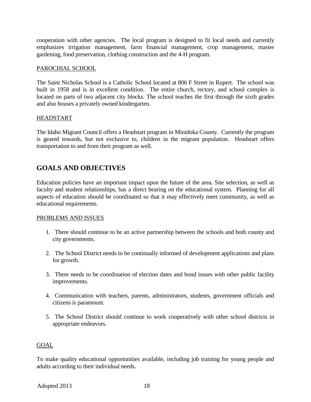cooperation with other agencies. The local program is designed to fit local needs and currently emphasizes irrigation management, farm financial management, crop management, master gardening, food preservation, clothing construction and the 4-H program.

#### PAROCHIAL SCHOOL

The Saint Nicholas School is a Catholic School located at 806 F Street in Rupert. The school was built in 1958 and is in excellent condition. The entire church, rectory, and school complex is located on parts of two adjacent city blocks. The school teaches the first through the sixth grades and also houses a privately owned kindergarten.

#### **HEADSTART**

The Idaho Migrant Council offers a Headstart program in Minidoka County. Currently the program is geared towards, but not exclusive to, children in the migrant population. Headstart offers transportation to and from their program as well.

## **GOALS AND OBJECTIVES**

Education policies have an important impact upon the future of the area. Site selection, as well as faculty and student relationships, has a direct bearing on the educational system. Planning for all aspects of education should be coordinated so that it may effectively meet community, as well as educational requirements.

#### PROBLEMS AND ISSUES

- 1. There should continue to be an active partnership between the schools and both county and city governments.
- 2. The School District needs to be continually informed of development applications and plans for growth.
- 3. There needs to be coordination of election dates and bond issues with other public facility improvements.
- 4. Communication with teachers, parents, administrators, students, government officials and citizens is paramount.
- 5. The School District should continue to work cooperatively with other school districts in appropriate endeavors.

#### GOAL

To make quality educational opportunities available, including job training for young people and adults according to their individual needs.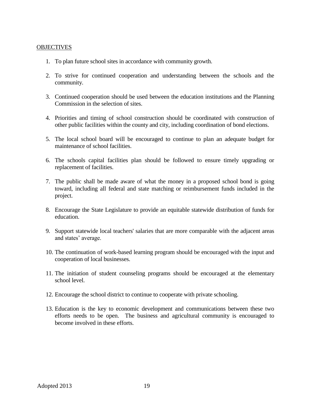#### **OBJECTIVES**

- 1. To plan future school sites in accordance with community growth.
- 2. To strive for continued cooperation and understanding between the schools and the community.
- 3. Continued cooperation should be used between the education institutions and the Planning Commission in the selection of sites.
- 4. Priorities and timing of school construction should be coordinated with construction of other public facilities within the county and city, including coordination of bond elections.
- 5. The local school board will be encouraged to continue to plan an adequate budget for maintenance of school facilities.
- 6. The schools capital facilities plan should be followed to ensure timely upgrading or replacement of facilities.
- 7. The public shall be made aware of what the money in a proposed school bond is going toward, including all federal and state matching or reimbursement funds included in the project.
- 8. Encourage the State Legislature to provide an equitable statewide distribution of funds for education.
- 9. Support statewide local teachers' salaries that are more comparable with the adjacent areas and states' average.
- 10. The continuation of work-based learning program should be encouraged with the input and cooperation of local businesses.
- 11. The initiation of student counseling programs should be encouraged at the elementary school level.
- 12. Encourage the school district to continue to cooperate with private schooling.
- 13. Education is the key to economic development and communications between these two efforts needs to be open. The business and agricultural community is encouraged to become involved in these efforts.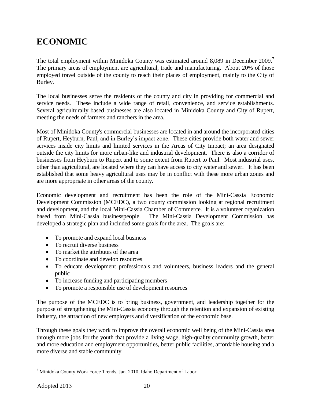# **ECONOMIC**

The total employment within Minidoka County was estimated around 8,089 in December 2009.<sup>7</sup> The primary areas of employment are agricultural, trade and manufacturing. About 20% of those employed travel outside of the county to reach their places of employment, mainly to the City of Burley.

The local businesses serve the residents of the county and city in providing for commercial and service needs. These include a wide range of retail, convenience, and service establishments. Several agriculturally based businesses are also located in Minidoka County and City of Rupert, meeting the needs of farmers and ranchers in the area.

Most of Minidoka County's commercial businesses are located in and around the incorporated cities of Rupert, Heyburn, Paul, and in Burley's impact zone. These cities provide both water and sewer services inside city limits and limited services in the Areas of City Impact; an area designated outside the city limits for more urban-like and industrial development. There is also a corridor of businesses from Heyburn to Rupert and to some extent from Rupert to Paul. Most industrial uses, other than agricultural, are located where they can have access to city water and sewer. It has been established that some heavy agricultural uses may be in conflict with these more urban zones and are more appropriate in other areas of the county.

Economic development and recruitment has been the role of the Mini-Cassia Economic Development Commission (MCEDC), a two county commission looking at regional recruitment and development, and the local Mini-Cassia Chamber of Commerce. It is a volunteer organization based from Mini-Cassia businesspeople. The Mini-Cassia Development Commission has developed a strategic plan and included some goals for the area. The goals are:

- To promote and expand local business
- To recruit diverse business
- To market the attributes of the area
- To coordinate and develop resources
- To educate development professionals and volunteers, business leaders and the general public
- To increase funding and participating members
- To promote a responsible use of development resources

The purpose of the MCEDC is to bring business, government, and leadership together for the purpose of strengthening the Mini-Cassia economy through the retention and expansion of existing industry, the attraction of new employers and diversification of the economic base.

Through these goals they work to improve the overall economic well being of the Mini-Cassia area through more jobs for the youth that provide a living wage, high-quality community growth, better and more education and employment opportunities, better public facilities, affordable housing and a more diverse and stable community.

 $^7$  Minidoka County Work Force Trends, Jan. 2010, Idaho Department of Labor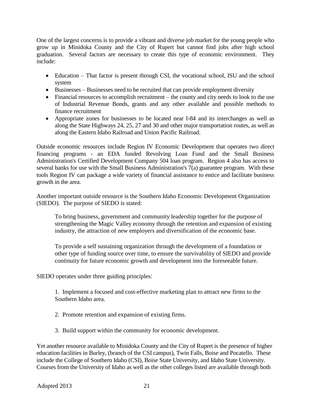One of the largest concerns is to provide a vibrant and diverse job market for the young people who grow up in Minidoka County and the City of Rupert but cannot find jobs after high school graduation. Several factors are necessary to create this type of economic environment. They include:

- Education That factor is present through CSI, the vocational school, ISU and the school system
- Businesses Businesses need to be recruited that can provide employment diversity
- Financial resources to accomplish recruitment the county and city needs to look to the use of Industrial Revenue Bonds, grants and any other available and possible methods to finance recruitment
- Appropriate zones for businesses to be located near I-84 and its interchanges as well as along the State Highways 24, 25, 27 and 30 and other major transportation routes, as well as along the Eastern Idaho Railroad and Union Pacific Railroad.

Outside economic resources include Region IV Economic Development that operates two direct financing programs - an EDA funded Revolving Loan Fund and the Small Business Administration's Certified Development Company 504 loan program. Region 4 also has access to several banks for use with the Small Business Administration's 7(a) guarantee program. With these tools Region IV can package a wide variety of financial assistance to entice and facilitate business growth in the area.

Another important outside resource is the Southern Idaho Economic Development Organization (SIEDO). The purpose of SIEDO is stated:

To bring business, government and community leadership together for the purpose of strengthening the Magic Valley economy through the retention and expansion of existing industry, the attraction of new employers and diversification of the economic base.

To provide a self sustaining organization through the development of a foundation or other type of funding source over time, to ensure the survivability of SIEDO and provide continuity for future economic growth and development into the foreseeable future.

SIEDO operates under three guiding principles:

1. Implement a focused and cost-effective marketing plan to attract new firms to the Southern Idaho area.

- 2. Promote retention and expansion of existing firms.
- 3. Build support within the community for economic development.

Yet another resource available to Minidoka County and the City of Rupert is the presence of higher education facilities in Burley, (branch of the CSI campus), Twin Falls, Boise and Pocatello. These include the College of Southern Idaho (CSI), Boise State University, and Idaho State University. Courses from the University of Idaho as well as the other colleges listed are available through both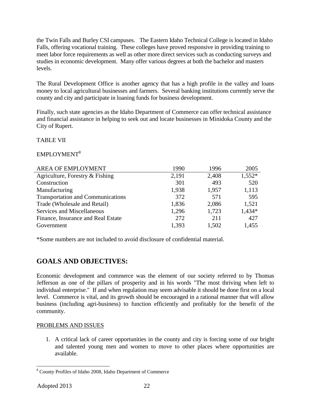the Twin Falls and Burley CSI campuses. The Eastern Idaho Technical College is located in Idaho Falls, offering vocational training. These colleges have proved responsive in providing training to meet labor force requirements as well as other more direct services such as conducting surveys and studies in economic development. Many offer various degrees at both the bachelor and masters levels.

The Rural Development Office is another agency that has a high profile in the valley and loans money to local agricultural businesses and farmers. Several banking institutions currently serve the county and city and participate in loaning funds for business development.

Finally, such state agencies as the Idaho Department of Commerce can offer technical assistance and financial assistance in helping to seek out and locate businesses in Minidoka County and the City of Rupert.

#### TABLE VII

#### EMPLOYMENT<sup>8</sup>

| AREA OF EMPLOYMENT                       | 1990  | 1996  | 2005   |
|------------------------------------------|-------|-------|--------|
| Agriculture, Forestry & Fishing          | 2,191 | 2,408 | 1,552* |
| Construction                             | 301   | 493   | 520    |
| Manufacturing                            | 1,938 | 1,957 | 1,113  |
| <b>Transportation and Communications</b> | 372   | 571   | 595    |
| Trade (Wholesale and Retail)             | 1,836 | 2,086 | 1,521  |
| Services and Miscellaneous               | 1,296 | 1,723 | 1,434* |
| Finance, Insurance and Real Estate       | 272   | 211   | 427    |
| Government                               | 1.393 | 1,502 | 1,455  |

\*Some numbers are not included to avoid disclosure of confidential material.

## **GOALS AND OBJECTIVES:**

Economic development and commerce was the element of our society referred to by Thomas Jefferson as one of the pillars of prosperity and in his words "The most thriving when left to individual enterprise." If and when regulation may seem advisable it should be done first on a local level. Commerce is vital, and its growth should be encouraged in a rational manner that will allow business (including agri-business) to function efficiently and profitably for the benefit of the community.

#### PROBLEMS AND ISSUES

1. A critical lack of career opportunities in the county and city is forcing some of our bright and talented young men and women to move to other places where opportunities are available.

<sup>8</sup> County Profiles of Idaho 2008, Idaho Department of Commerce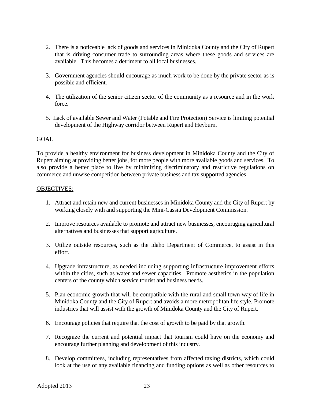- 2. There is a noticeable lack of goods and services in Minidoka County and the City of Rupert that is driving consumer trade to surrounding areas where these goods and services are available. This becomes a detriment to all local businesses.
- 3. Government agencies should encourage as much work to be done by the private sector as is possible and efficient.
- 4. The utilization of the senior citizen sector of the community as a resource and in the work force.
- 5. Lack of available Sewer and Water (Potable and Fire Protection) Service is limiting potential development of the Highway corridor between Rupert and Heyburn.

#### GOAL

To provide a healthy environment for business development in Minidoka County and the City of Rupert aiming at providing better jobs, for more people with more available goods and services. To also provide a better place to live by minimizing discriminatory and restrictive regulations on commerce and unwise competition between private business and tax supported agencies.

#### OBJECTIVES:

- 1. Attract and retain new and current businesses in Minidoka County and the City of Rupert by working closely with and supporting the Mini-Cassia Development Commission.
- 2. Improve resources available to promote and attract new businesses, encouraging agricultural alternatives and businesses that support agriculture.
- 3. Utilize outside resources, such as the Idaho Department of Commerce, to assist in this effort.
- 4. Upgrade infrastructure, as needed including supporting infrastructure improvement efforts within the cities, such as water and sewer capacities. Promote aesthetics in the population centers of the county which service tourist and business needs.
- 5. Plan economic growth that will be compatible with the rural and small town way of life in Minidoka County and the City of Rupert and avoids a more metropolitan life style. Promote industries that will assist with the growth of Minidoka County and the City of Rupert.
- 6. Encourage policies that require that the cost of growth to be paid by that growth.
- 7. Recognize the current and potential impact that tourism could have on the economy and encourage further planning and development of this industry.
- 8. Develop committees, including representatives from affected taxing districts, which could look at the use of any available financing and funding options as well as other resources to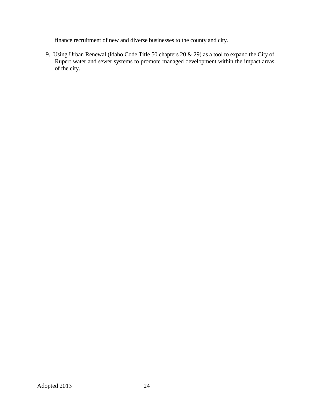finance recruitment of new and diverse businesses to the county and city.

9. Using Urban Renewal (Idaho Code Title 50 chapters 20 & 29) as a tool to expand the City of Rupert water and sewer systems to promote managed development within the impact areas of the city.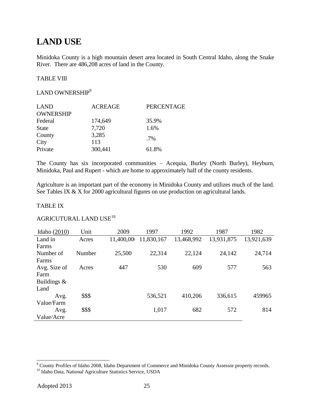# **LAND USE**

Minidoka County is a high mountain desert area located in South Central Idaho, along the Snake River. There are 486,208 acres of land in the County.

#### TABLE VIII

#### LAND OWNERSHIP<sup>9</sup>

| <b>LAND</b>      | <b>ACREAGE</b> | PERCENTAGE |
|------------------|----------------|------------|
| <b>OWNERSHIP</b> |                |            |
| Federal          | 174,649        | 35.9%      |
| <b>State</b>     | 7,720          | 1.6%       |
| County           | 3,285          |            |
| City             | 113            | $.7\%$     |
| Private          | 300,441        | 61.8%      |

The County has six incorporated communities – Acequia, Burley (North Burley), Heyburn, Minidoka, Paul and Rupert - which are home to approximately half of the county residents.

Agriculture is an important part of the economy in Minidoka County and utilizes much of the land. See Tables IX & X for 2000 agricultural figures on use production on agricultural lands.

#### TABLE IX

### AGRICUTURAL LAND USE<sup>10</sup>

| Idaho $(2010)$ | Unit   | 2009      | 1997       | 1992       | 1987       | 1982       |
|----------------|--------|-----------|------------|------------|------------|------------|
| Land in        | Acres  | 11,400,00 | 11,830,167 | 13,468,992 | 13,931,875 | 13,921,639 |
| Farms          |        |           |            |            |            |            |
| Number of      | Number | 25,500    | 22,314     | 22,124     | 24,142     | 24,714     |
| Farms          |        |           |            |            |            |            |
| Avg. Size of   | Acres  | 447       | 530        | 609        | 577        | 563        |
| Farm           |        |           |            |            |            |            |
| Buildings $\&$ |        |           |            |            |            |            |
| Land           |        |           |            |            |            |            |
| Avg.           | \$\$\$ |           | 536,521    | 410,206    | 336,615    | 459965     |
| Value/Farm     |        |           |            |            |            |            |
| Avg.           | \$\$\$ |           | 1,017      | 682        | 572        | 814        |
| Value/Acre     |        |           |            |            |            |            |

<sup>&</sup>lt;sup>9</sup> County Profiles of Idaho 2008, Idaho Department of Commerce and Minidoka County Assessor property records. <sup>10</sup> Idaho Data, National Agriculture Statistics Service, USDA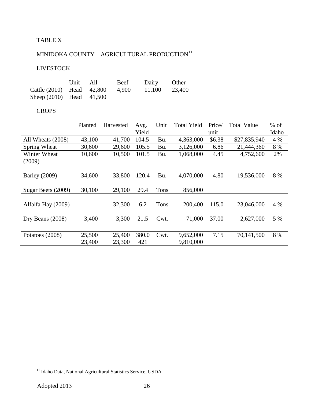## TABLE X

## MINIDOKA COUNTY – AGRICULTURAL PRODUCTION $^{\rm 11}$

## LIVESTOCK

|                              | Unit | All | Beef  | Dairy  | <b>Other</b> |
|------------------------------|------|-----|-------|--------|--------------|
| Cattle (2010) Head 42,800    |      |     | 4.900 | 11,100 | 23,400       |
| Sheep $(2010)$ Head $41,500$ |      |     |       |        |              |

#### CROPS

|                      | Planted | Harvested | Avg.  | Unit | <b>Total Yield</b> | Price/ | <b>Total Value</b> | $%$ of |
|----------------------|---------|-----------|-------|------|--------------------|--------|--------------------|--------|
|                      |         |           | Yield |      |                    | unit   |                    | Idaho  |
| All Wheats (2008)    | 43,100  | 41,700    | 104.5 | Bu.  | 4,363,000          | \$6.38 | \$27,835,940       | 4 %    |
| Spring Wheat         | 30,600  | 29,600    | 105.5 | Bu.  | 3,126,000          | 6.86   | 21,444,360         | 8 %    |
| Winter Wheat         | 10,600  | 10,500    | 101.5 | Bu.  | 1,068,000          | 4.45   | 4,752,600          | 2%     |
| (2009)               |         |           |       |      |                    |        |                    |        |
|                      |         |           |       |      |                    |        |                    |        |
| <b>Barley</b> (2009) | 34,600  | 33,800    | 120.4 | Bu.  | 4,070,000          | 4.80   | 19,536,000         | 8 %    |
|                      |         |           |       |      |                    |        |                    |        |
| Sugar Beets (2009)   | 30,100  | 29,100    | 29.4  | Tons | 856,000            |        |                    |        |
|                      |         |           |       |      |                    |        |                    |        |
| Alfalfa Hay (2009)   |         | 32,300    | 6.2   | Tons | 200,400            | 115.0  | 23,046,000         | 4 %    |
|                      |         |           |       |      |                    |        |                    |        |
| Dry Beans $(2008)$   | 3,400   | 3,300     | 21.5  | Cwt. | 71,000             | 37.00  | 2,627,000          | 5 %    |
|                      |         |           |       |      |                    |        |                    |        |
| Potatoes (2008)      | 25,500  | 25,400    | 380.0 | Cwt. | 9,652,000          | 7.15   | 70,141,500         | 8 %    |
|                      | 23,400  | 23,300    | 421   |      | 9,810,000          |        |                    |        |

<sup>&</sup>lt;sup>11</sup> Idaho Data, National Agricultural Statistics Service, USDA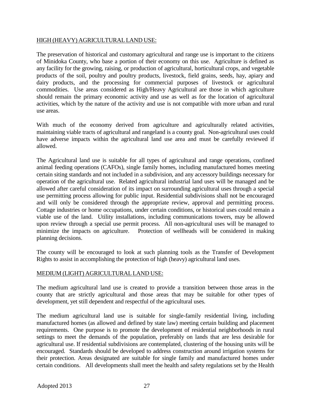#### HIGH (HEAVY) AGRICULTURAL LAND USE:

The preservation of historical and customary agricultural and range use is important to the citizens of Minidoka County, who base a portion of their economy on this use. Agriculture is defined as any facility for the growing, raising, or production of agricultural, horticultural crops, and vegetable products of the soil, poultry and poultry products, livestock, field grains, seeds, hay, apiary and dairy products, and the processing for commercial purposes of livestock or agricultural commodities. Use areas considered as High/Heavy Agricultural are those in which agriculture should remain the primary economic activity and use as well as for the location of agricultural activities, which by the nature of the activity and use is not compatible with more urban and rural use areas.

With much of the economy derived from agriculture and agriculturally related activities, maintaining viable tracts of agricultural and rangeland is a county goal. Non-agricultural uses could have adverse impacts within the agricultural land use area and must be carefully reviewed if allowed.

The Agricultural land use is suitable for all types of agricultural and range operations, confined animal feeding operations (CAFOs), single family homes, including manufactured homes meeting certain siting standards and not included in a subdivision, and any accessory buildings necessary for operation of the agricultural use. Related agricultural industrial land uses will be managed and be allowed after careful consideration of its impact on surrounding agricultural uses through a special use permitting process allowing for public input. Residential subdivisions shall not be encouraged and will only be considered through the appropriate review, approval and permitting process. Cottage industries or home occupations, under certain conditions, or historical uses could remain a viable use of the land. Utility installations, including communications towers, may be allowed upon review through a special use permit process. All non-agricultural uses will be managed to minimize the impacts on agriculture. Protection of wellheads will be considered in making planning decisions.

The county will be encouraged to look at such planning tools as the Transfer of Development Rights to assist in accomplishing the protection of high (heavy) agricultural land uses.

#### MEDIUM (LIGHT) AGRICULTURAL LAND USE:

The medium agricultural land use is created to provide a transition between those areas in the county that are strictly agricultural and those areas that may be suitable for other types of development, yet still dependent and respectful of the agricultural uses.

The medium agricultural land use is suitable for single-family residential living, including manufactured homes (as allowed and defined by state law) meeting certain building and placement requirements. One purpose is to promote the development of residential neighborhoods in rural settings to meet the demands of the population, preferably on lands that are less desirable for agricultural use. If residential subdivisions are contemplated, clustering of the housing units will be encouraged. Standards should be developed to address construction around irrigation systems for their protection. Areas designated are suitable for single family and manufactured homes under certain conditions. All developments shall meet the health and safety regulations set by the Health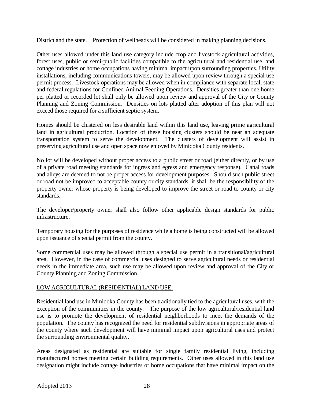District and the state. Protection of wellheads will be considered in making planning decisions.

Other uses allowed under this land use category include crop and livestock agricultural activities, forest uses, public or semi-public facilities compatible to the agricultural and residential use, and cottage industries or home occupations having minimal impact upon surrounding properties. Utility installations, including communications towers, may be allowed upon review through a special use permit process. Livestock operations may be allowed when in compliance with separate local, state and federal regulations for Confined Animal Feeding Operations. Densities greater than one home per platted or recorded lot shall only be allowed upon review and approval of the City or County Planning and Zoning Commission. Densities on lots platted after adoption of this plan will not exceed those required for a sufficient septic system.

Homes should be clustered on less desirable land within this land use, leaving prime agricultural land in agricultural production. Location of these housing clusters should be near an adequate transportation system to serve the development. The clusters of development will assist in preserving agricultural use and open space now enjoyed by Minidoka County residents.

No lot will be developed without proper access to a public street or road (either directly, or by use of a private road meeting standards for ingress and egress and emergency response). Canal roads and alleys are deemed to not be proper access for development purposes. Should such public street or road not be improved to acceptable county or city standards, it shall be the responsibility of the property owner whose property is being developed to improve the street or road to county or city standards.

The developer/property owner shall also follow other applicable design standards for public infrastructure.

Temporary housing for the purposes of residence while a home is being constructed will be allowed upon issuance of special permit from the county.

Some commercial uses may be allowed through a special use permit in a transitional/agricultural area. However, in the case of commercial uses designed to serve agricultural needs or residential needs in the immediate area, such use may be allowed upon review and approval of the City or County Planning and Zoning Commission.

#### LOW AGRICULTURAL (RESIDENTIAL) LAND USE:

Residential land use in Minidoka County has been traditionally tied to the agricultural uses, with the exception of the communities in the county. The purpose of the low agricultural/residential land use is to promote the development of residential neighborhoods to meet the demands of the population. The county has recognized the need for residential subdivisions in appropriate areas of the county where such development will have minimal impact upon agricultural uses and protect the surrounding environmental quality.

Areas designated as residential are suitable for single family residential living, including manufactured homes meeting certain building requirements. Other uses allowed in this land use designation might include cottage industries or home occupations that have minimal impact on the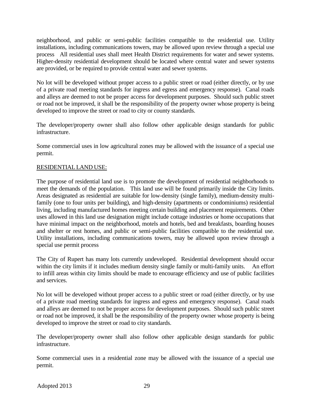neighborhood, and public or semi-public facilities compatible to the residential use. Utility installations, including communications towers, may be allowed upon review through a special use process All residential uses shall meet Health District requirements for water and sewer systems. Higher-density residential development should be located where central water and sewer systems are provided, or be required to provide central water and sewer systems.

No lot will be developed without proper access to a public street or road (either directly, or by use of a private road meeting standards for ingress and egress and emergency response). Canal roads and alleys are deemed to not be proper access for development purposes. Should such public street or road not be improved, it shall be the responsibility of the property owner whose property is being developed to improve the street or road to city or county standards.

The developer/property owner shall also follow other applicable design standards for public infrastructure.

Some commercial uses in low agricultural zones may be allowed with the issuance of a special use permit.

#### RESIDENTIAL LAND USE:

The purpose of residential land use is to promote the development of residential neighborhoods to meet the demands of the population. This land use will be found primarily inside the City limits. Areas designated as residential are suitable for low-density (single family), medium-density multifamily (one to four units per building), and high-density (apartments or condominiums) residential living, including manufactured homes meeting certain building and placement requirements. Other uses allowed in this land use designation might include cottage industries or home occupations that have minimal impact on the neighborhood, motels and hotels, bed and breakfasts, boarding houses and shelter or rest homes, and public or semi-public facilities compatible to the residential use. Utility installations, including communications towers, may be allowed upon review through a special use permit process

The City of Rupert has many lots currently undeveloped. Residential development should occur within the city limits if it includes medium density single family or multi-family units. An effort to infill areas within city limits should be made to encourage efficiency and use of public facilities and services.

No lot will be developed without proper access to a public street or road (either directly, or by use of a private road meeting standards for ingress and egress and emergency response). Canal roads and alleys are deemed to not be proper access for development purposes. Should such public street or road not be improved, it shall be the responsibility of the property owner whose property is being developed to improve the street or road to city standards.

The developer/property owner shall also follow other applicable design standards for public infrastructure.

Some commercial uses in a residential zone may be allowed with the issuance of a special use permit.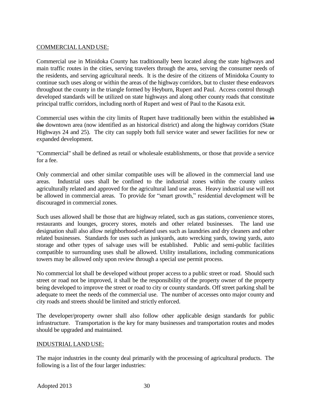#### COMMERCIAL LAND USE:

Commercial use in Minidoka County has traditionally been located along the state highways and main traffic routes in the cities, serving travelers through the area, serving the consumer needs of the residents, and serving agricultural needs. It is the desire of the citizens of Minidoka County to continue such uses along or within the areas of the highway corridors, but to cluster these endeavors throughout the county in the triangle formed by Heyburn, Rupert and Paul. Access control through developed standards will be utilized on state highways and along other county roads that constitute principal traffic corridors, including north of Rupert and west of Paul to the Kasota exit.

Commercial uses within the city limits of Rupert have traditionally been within the established in the downtown area (now identified as an historical district) and along the highway corridors (State Highways 24 and 25). The city can supply both full service water and sewer facilities for new or expanded development.

"Commercial" shall be defined as retail or wholesale establishments, or those that provide a service for a fee.

Only commercial and other similar compatible uses will be allowed in the commercial land use areas. Industrial uses shall be confined to the industrial zones within the county unless agriculturally related and approved for the agricultural land use areas. Heavy industrial use will not be allowed in commercial areas. To provide for "smart growth," residential development will be discouraged in commercial zones.

Such uses allowed shall be those that are highway related, such as gas stations, convenience stores, restaurants and lounges, grocery stores, motels and other related businesses. The land use designation shall also allow neighborhood-related uses such as laundries and dry cleaners and other related businesses. Standards for uses such as junkyards, auto wrecking yards, towing yards, auto storage and other types of salvage uses will be established. Public and semi-public facilities compatible to surrounding uses shall be allowed. Utility installations, including communications towers may be allowed only upon review through a special use permit process.

No commercial lot shall be developed without proper access to a public street or road. Should such street or road not be improved, it shall be the responsibility of the property owner of the property being developed to improve the street or road to city or county standards. Off street parking shall be adequate to meet the needs of the commercial use. The number of accesses onto major county and city roads and streets should be limited and strictly enforced.

The developer/property owner shall also follow other applicable design standards for public infrastructure. Transportation is the key for many businesses and transportation routes and modes should be upgraded and maintained.

#### INDUSTRIAL LAND USE:

The major industries in the county deal primarily with the processing of agricultural products. The following is a list of the four larger industries: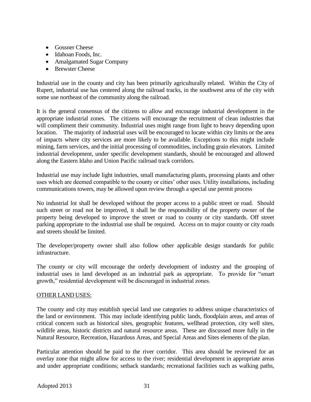- Gossner Cheese
- Idahoan Foods, Inc.
- Amalgamated Sugar Company
- Brewster Cheese

Industrial use in the county and city has been primarily agriculturally related. Within the City of Rupert, industrial use has centered along the railroad tracks, in the southwest area of the city with some use northeast of the community along the railroad.

It is the general consensus of the citizens to allow and encourage industrial development in the appropriate industrial zones. The citizens will encourage the recruitment of clean industries that will compliment their community. Industrial uses might range from light to heavy depending upon location. The majority of industrial uses will be encouraged to locate within city limits or the area of impacts where city services are more likely to be available. Exceptions to this might include mining, farm services, and the initial processing of commodities, including grain elevators. Limited industrial development, under specific development standards, should be encouraged and allowed along the Eastern Idaho and Union Pacific railroad track corridors.

Industrial use may include light industries, small manufacturing plants, processing plants and other uses which are deemed compatible to the county or cities' other uses. Utility installations, including communications towers, may be allowed upon review through a special use permit process

No industrial lot shall be developed without the proper access to a public street or road. Should such street or road not be improved, it shall be the responsibility of the property owner of the property being developed to improve the street or road to county or city standards. Off street parking appropriate to the industrial use shall be required. Access on to major county or city roads and streets should be limited.

The developer/property owner shall also follow other applicable design standards for public infrastructure.

The county or city will encourage the orderly development of industry and the grouping of industrial uses in land developed as an industrial park as appropriate. To provide for "smart growth," residential development will be discouraged in industrial zones.

#### OTHER LAND USES:

The county and city may establish special land use categories to address unique characteristics of the land or environment. This may include identifying public lands, floodplain areas, and areas of critical concern such as historical sites, geographic features, wellhead protection, city well sites, wildlife areas, historic districts and natural resource areas. These are discussed more fully in the Natural Resource, Recreation, Hazardous Areas, and Special Areas and Sites elements of the plan.

Particular attention should be paid to the river corridor. This area should be reviewed for an overlay zone that might allow for access to the river; residential development in appropriate areas and under appropriate conditions; setback standards; recreational facilities such as walking paths,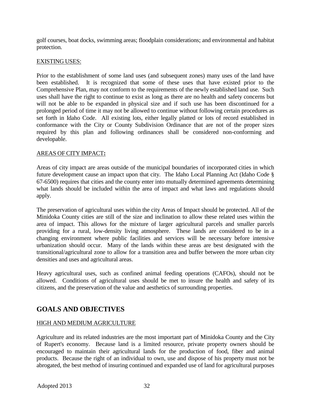golf courses, boat docks, swimming areas; floodplain considerations; and environmental and habitat protection.

#### EXISTING USES:

Prior to the establishment of some land uses (and subsequent zones) many uses of the land have been established. It is recognized that some of these uses that have existed prior to the Comprehensive Plan, may not conform to the requirements of the newly established land use. Such uses shall have the right to continue to exist as long as there are no health and safety concerns but will not be able to be expanded in physical size and if such use has been discontinued for a prolonged period of time it may not be allowed to continue without following certain procedures as set forth in Idaho Code. All existing lots, either legally platted or lots of record established in conformance with the City or County Subdivision Ordinance that are not of the proper sizes required by this plan and following ordinances shall be considered non-conforming and developable.

#### AREAS OF CITY IMPACT**:**

Areas of city impact are areas outside of the municipal boundaries of incorporated cities in which future development cause an impact upon that city. The Idaho Local Planning Act (Idaho Code § 67-6500) requires that cities and the county enter into mutually determined agreements determining what lands should be included within the area of impact and what laws and regulations should apply.

The preservation of agricultural uses within the city Areas of Impact should be protected. All of the Minidoka County cities are still of the size and inclination to allow these related uses within the area of impact. This allows for the mixture of larger agricultural parcels and smaller parcels providing for a rural, low-density living atmosphere. These lands are considered to be in a changing environment where public facilities and services will be necessary before intensive urbanization should occur. Many of the lands within these areas are best designated with the transitional/agricultural zone to allow for a transition area and buffer between the more urban city densities and uses and agricultural areas.

Heavy agricultural uses, such as confined animal feeding operations (CAFOs), should not be allowed. Conditions of agricultural uses should be met to insure the health and safety of its citizens, and the preservation of the value and aesthetics of surrounding properties.

## **GOALS AND OBJECTIVES**

#### HIGH AND MEDIUM AGRICULTURE

Agriculture and its related industries are the most important part of Minidoka County and the City of Rupert's economy. Because land is a limited resource, private property owners should be encouraged to maintain their agricultural lands for the production of food, fiber and animal products. Because the right of an individual to own, use and dispose of his property must not be abrogated, the best method of insuring continued and expanded use of land for agricultural purposes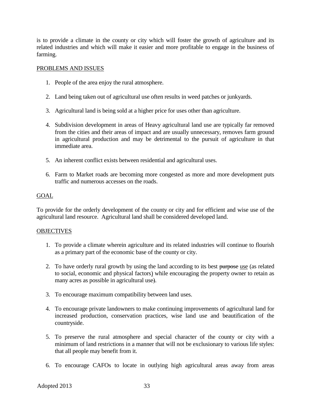is to provide a climate in the county or city which will foster the growth of agriculture and its related industries and which will make it easier and more profitable to engage in the business of farming.

#### PROBLEMS AND ISSUES

- 1. People of the area enjoy the rural atmosphere.
- 2. Land being taken out of agricultural use often results in weed patches or junkyards.
- 3. Agricultural land is being sold at a higher price for uses other than agriculture.
- 4. Subdivision development in areas of Heavy agricultural land use are typically far removed from the cities and their areas of impact and are usually unnecessary, removes farm ground in agricultural production and may be detrimental to the pursuit of agriculture in that immediate area.
- 5. An inherent conflict exists between residential and agricultural uses.
- 6. Farm to Market roads are becoming more congested as more and more development puts traffic and numerous accesses on the roads.

#### GOAL

To provide for the orderly development of the county or city and for efficient and wise use of the agricultural land resource. Agricultural land shall be considered developed land.

#### **OBJECTIVES**

- 1. To provide a climate wherein agriculture and its related industries will continue to flourish as a primary part of the economic base of the county or city.
- 2. To have orderly rural growth by using the land according to its best purpose use (as related to social, economic and physical factors) while encouraging the property owner to retain as many acres as possible in agricultural use).
- 3. To encourage maximum compatibility between land uses.
- 4. To encourage private landowners to make continuing improvements of agricultural land for increased production, conservation practices, wise land use and beautification of the countryside.
- 5. To preserve the rural atmosphere and special character of the county or city with a minimum of land restrictions in a manner that will not be exclusionary to various life styles: that all people may benefit from it.
- 6. To encourage CAFOs to locate in outlying high agricultural areas away from areas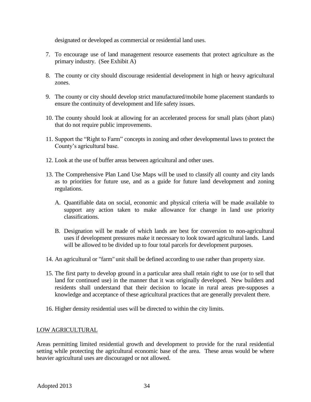designated or developed as commercial or residential land uses.

- 7. To encourage use of land management resource easements that protect agriculture as the primary industry. (See Exhibit A)
- 8. The county or city should discourage residential development in high or heavy agricultural zones.
- 9. The county or city should develop strict manufactured/mobile home placement standards to ensure the continuity of development and life safety issues.
- 10. The county should look at allowing for an accelerated process for small plats (short plats) that do not require public improvements.
- 11. Support the "Right to Farm" concepts in zoning and other developmental laws to protect the County's agricultural base.
- 12. Look at the use of buffer areas between agricultural and other uses.
- 13. The Comprehensive Plan Land Use Maps will be used to classify all county and city lands as to priorities for future use, and as a guide for future land development and zoning regulations.
	- A. Quantifiable data on social, economic and physical criteria will be made available to support any action taken to make allowance for change in land use priority classifications.
	- B. Designation will be made of which lands are best for conversion to non-agricultural uses if development pressures make it necessary to look toward agricultural lands. Land will be allowed to be divided up to four total parcels for development purposes.
- 14. An agricultural or "farm" unit shall be defined according to use rather than property size.
- 15. The first party to develop ground in a particular area shall retain right to use (or to sell that land for continued use) in the manner that it was originally developed. New builders and residents shall understand that their decision to locate in rural areas pre-supposes a knowledge and acceptance of these agricultural practices that are generally prevalent there.
- 16. Higher density residential uses will be directed to within the city limits.

#### LOW AGRICULTURAL

Areas permitting limited residential growth and development to provide for the rural residential setting while protecting the agricultural economic base of the area. These areas would be where heavier agricultural uses are discouraged or not allowed.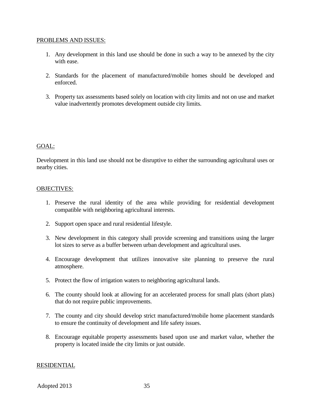#### PROBLEMS AND ISSUES:

- 1. Any development in this land use should be done in such a way to be annexed by the city with ease.
- 2. Standards for the placement of manufactured/mobile homes should be developed and enforced.
- 3. Property tax assessments based solely on location with city limits and not on use and market value inadvertently promotes development outside city limits.

#### GOAL:

Development in this land use should not be disruptive to either the surrounding agricultural uses or nearby cities.

#### OBJECTIVES:

- 1. Preserve the rural identity of the area while providing for residential development compatible with neighboring agricultural interests.
- 2. Support open space and rural residential lifestyle.
- 3. New development in this category shall provide screening and transitions using the larger lot sizes to serve as a buffer between urban development and agricultural uses.
- 4. Encourage development that utilizes innovative site planning to preserve the rural atmosphere.
- 5. Protect the flow of irrigation waters to neighboring agricultural lands.
- 6. The county should look at allowing for an accelerated process for small plats (short plats) that do not require public improvements.
- 7. The county and city should develop strict manufactured/mobile home placement standards to ensure the continuity of development and life safety issues.
- 8. Encourage equitable property assessments based upon use and market value, whether the property is located inside the city limits or just outside.

#### RESIDENTIAL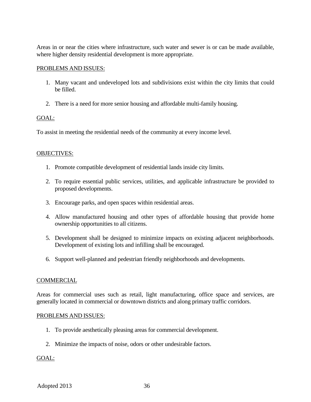Areas in or near the cities where infrastructure, such water and sewer is or can be made available, where higher density residential development is more appropriate.

#### PROBLEMS AND ISSUES:

- 1. Many vacant and undeveloped lots and subdivisions exist within the city limits that could be filled.
- 2. There is a need for more senior housing and affordable multi-family housing.

#### GOAL:

To assist in meeting the residential needs of the community at every income level.

#### OBJECTIVES:

- 1. Promote compatible development of residential lands inside city limits.
- 2. To require essential public services, utilities, and applicable infrastructure be provided to proposed developments.
- 3. Encourage parks, and open spaces within residential areas.
- 4. Allow manufactured housing and other types of affordable housing that provide home ownership opportunities to all citizens.
- 5. Development shall be designed to minimize impacts on existing adjacent neighborhoods. Development of existing lots and infilling shall be encouraged.
- 6. Support well-planned and pedestrian friendly neighborhoods and developments.

#### **COMMERCIAL**

Areas for commercial uses such as retail, light manufacturing, office space and services, are generally located in commercial or downtown districts and along primary traffic corridors.

#### PROBLEMS AND ISSUES:

- 1. To provide aesthetically pleasing areas for commercial development.
- 2. Minimize the impacts of noise, odors or other undesirable factors.

#### GOAL: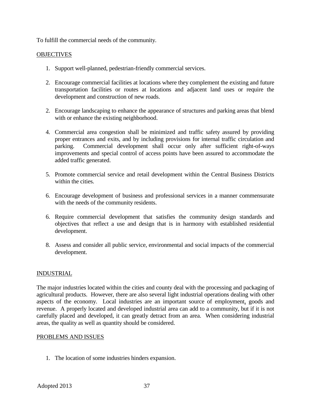To fulfill the commercial needs of the community.

## **OBJECTIVES**

- 1. Support well-planned, pedestrian-friendly commercial services.
- 2. Encourage commercial facilities at locations where they complement the existing and future transportation facilities or routes at locations and adjacent land uses or require the development and construction of new roads.
- 2. Encourage landscaping to enhance the appearance of structures and parking areas that blend with or enhance the existing neighborhood.
- 4. Commercial area congestion shall be minimized and traffic safety assured by providing proper entrances and exits, and by including provisions for internal traffic circulation and parking. Commercial development shall occur only after sufficient right-of-ways improvements and special control of access points have been assured to accommodate the added traffic generated.
- 5. Promote commercial service and retail development within the Central Business Districts within the cities.
- 6. Encourage development of business and professional services in a manner commensurate with the needs of the community residents.
- 6. Require commercial development that satisfies the community design standards and objectives that reflect a use and design that is in harmony with established residential development.
- 8. Assess and consider all public service, environmental and social impacts of the commercial development.

### INDUSTRIAL

The major industries located within the cities and county deal with the processing and packaging of agricultural products. However, there are also several light industrial operations dealing with other aspects of the economy. Local industries are an important source of employment, goods and revenue. A properly located and developed industrial area can add to a community, but if it is not carefully placed and developed, it can greatly detract from an area. When considering industrial areas, the quality as well as quantity should be considered.

### PROBLEMS AND ISSUES

1. The location of some industries hinders expansion.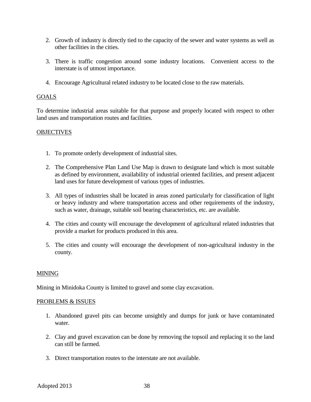- 2. Growth of industry is directly tied to the capacity of the sewer and water systems as well as other facilities in the cities.
- 3. There is traffic congestion around some industry locations. Convenient access to the interstate is of utmost importance.
- 4. Encourage Agricultural related industry to be located close to the raw materials.

## GOALS

To determine industrial areas suitable for that purpose and properly located with respect to other land uses and transportation routes and facilities.

### **OBJECTIVES**

- 1. To promote orderly development of industrial sites.
- 2. The Comprehensive Plan Land Use Map is drawn to designate land which is most suitable as defined by environment, availability of industrial oriented facilities, and present adjacent land uses for future development of various types of industries.
- 3. All types of industries shall be located in areas zoned particularly for classification of light or heavy industry and where transportation access and other requirements of the industry, such as water, drainage, suitable soil bearing characteristics, etc. are available.
- 4. The cities and county will encourage the development of agricultural related industries that provide a market for products produced in this area.
- 5. The cities and county will encourage the development of non-agricultural industry in the county.

### MINING

Mining in Minidoka County is limited to gravel and some clay excavation.

### PROBLEMS & ISSUES

- 1. Abandoned gravel pits can become unsightly and dumps for junk or have contaminated water.
- 2. Clay and gravel excavation can be done by removing the topsoil and replacing it so the land can still be farmed.
- 3. Direct transportation routes to the interstate are not available.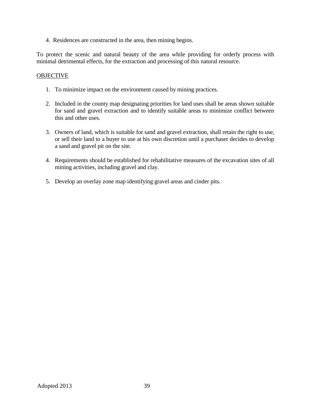4. Residences are constructed in the area, then mining begins.

To protect the scenic and natural beauty of the area while providing for orderly process with minimal detrimental effects, for the extraction and processing of this natural resource.

## **OBJECTIVE**

- 1. To minimize impact on the environment caused by mining practices.
- 2. Included in the county map designating priorities for land uses shall be areas shown suitable for sand and gravel extraction and to identify suitable areas to minimize conflict between this and other uses.
- 3. Owners of land, which is suitable for sand and gravel extraction, shall retain the right to use, or sell their land to a buyer to use at his own discretion until a purchaser decides to develop a sand and gravel pit on the site.
- 4. Requirements should be established for rehabilitative measures of the excavation sites of all mining activities, including gravel and clay.
- 5. Develop an overlay zone map identifying gravel areas and cinder pits.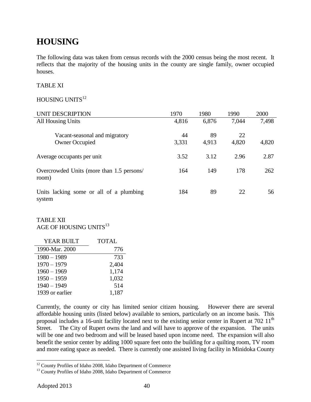# **HOUSING**

The following data was taken from census records with the 2000 census being the most recent. It reflects that the majority of the housing units in the county are single family, owner occupied houses.

## TABLE XI

## HOUSING UNITS<sup>12</sup>

| UNIT DESCRIPTION                                   | 1970  | 1980  | 1990  | 2000  |
|----------------------------------------------------|-------|-------|-------|-------|
| All Housing Units                                  | 4,816 | 6,876 | 7,044 | 7,498 |
| Vacant-seasonal and migratory                      | 44    | 89    | 22    |       |
| <b>Owner Occupied</b>                              | 3,331 | 4,913 | 4,820 | 4,820 |
| Average occupants per unit                         | 3.52  | 3.12  | 2.96  | 2.87  |
| Overcrowded Units (more than 1.5 persons/<br>room) | 164   | 149   | 178   | 262   |
| Units lacking some or all of a plumbing<br>system  | 184   | 89    | 22    | 56    |

## TABLE XII AGE OF HOUSING UNITS<sup>13</sup>

| <b>YEAR BUILT</b> | <b>TOTAL</b> |
|-------------------|--------------|
| 1990-Mar. 2000    | 776          |
| $1980 - 1989$     | 733          |
| $1970 - 1979$     | 2,404        |
| $1960 - 1969$     | 1,174        |
| $1950 - 1959$     | 1,032        |
| $1940 - 1949$     | 514          |
| 1939 or earlier   | 1,187        |

Currently, the county or city has limited senior citizen housing. However there are several affordable housing units (listed below) available to seniors, particularly on an income basis. This proposal includes a 16-unit facility located next to the existing senior center in Rupert at 702 11<sup>th</sup> Street. The City of Rupert owns the land and will have to approve of the expansion. The units will be one and two bedroom and will be leased based upon income need. The expansion will also benefit the senior center by adding 1000 square feet onto the building for a quilting room, TV room and more eating space as needed. There is currently one assisted living facility in Minidoka County

 $\overline{a}$ 

 $12$  County Profiles of Idaho 2008, Idaho Department of Commerce

<sup>&</sup>lt;sup>13</sup> County Profiles of Idaho 2008, Idaho Department of Commerce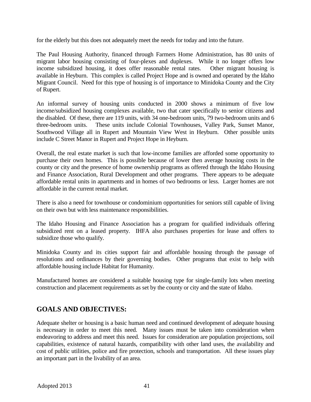for the elderly but this does not adequately meet the needs for today and into the future.

The Paul Housing Authority, financed through Farmers Home Administration, has 80 units of migrant labor housing consisting of four-plexes and duplexes. While it no longer offers low income subsidized housing, it does offer reasonable rental rates. Other migrant housing is available in Heyburn. This complex is called Project Hope and is owned and operated by the Idaho Migrant Council. Need for this type of housing is of importance to Minidoka County and the City of Rupert.

An informal survey of housing units conducted in 2000 shows a minimum of five low income/subsidized housing complexes available, two that cater specifically to senior citizens and the disabled. Of these, there are 119 units, with 34 one-bedroom units, 79 two-bedroom units and 6 three-bedroom units. These units include Colonial Townhouses, Valley Park, Sunset Manor, Southwood Village all in Rupert and Mountain View West in Heyburn. Other possible units include C Street Manor in Rupert and Project Hope in Heyburn.

Overall, the real estate market is such that low-income families are afforded some opportunity to purchase their own homes. This is possible because of lower then average housing costs in the county or city and the presence of home ownership programs as offered through the Idaho Housing and Finance Association, Rural Development and other programs. There appears to be adequate affordable rental units in apartments and in homes of two bedrooms or less. Larger homes are not affordable in the current rental market.

There is also a need for townhouse or condominium opportunities for seniors still capable of living on their own but with less maintenance responsibilities.

The Idaho Housing and Finance Association has a program for qualified individuals offering subsidized rent on a leased property. IHFA also purchases properties for lease and offers to subsidize those who qualify.

Minidoka County and its cities support fair and affordable housing through the passage of resolutions and ordinances by their governing bodies. Other programs that exist to help with affordable housing include Habitat for Humanity.

Manufactured homes are considered a suitable housing type for single-family lots when meeting construction and placement requirements as set by the county or city and the state of Idaho.

## **GOALS AND OBJECTIVES:**

Adequate shelter or housing is a basic human need and continued development of adequate housing is necessary in order to meet this need. Many issues must be taken into consideration when endeavoring to address and meet this need. Issues for consideration are population projections, soil capabilities, existence of natural hazards, compatibility with other land uses, the availability and cost of public utilities, police and fire protection, schools and transportation. All these issues play an important part in the livability of an area.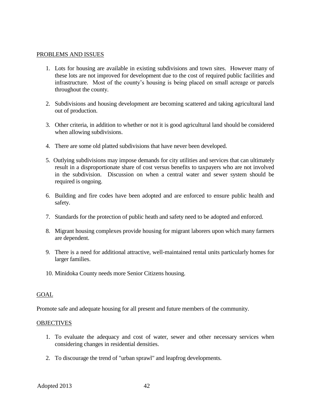#### PROBLEMS AND ISSUES

- 1. Lots for housing are available in existing subdivisions and town sites. However many of these lots are not improved for development due to the cost of required public facilities and infrastructure. Most of the county's housing is being placed on small acreage or parcels throughout the county.
- 2. Subdivisions and housing development are becoming scattered and taking agricultural land out of production.
- 3. Other criteria, in addition to whether or not it is good agricultural land should be considered when allowing subdivisions.
- 4. There are some old platted subdivisions that have never been developed.
- 5. Outlying subdivisions may impose demands for city utilities and services that can ultimately result in a disproportionate share of cost versus benefits to taxpayers who are not involved in the subdivision. Discussion on when a central water and sewer system should be required is ongoing.
- 6. Building and fire codes have been adopted and are enforced to ensure public health and safety.
- 7. Standards for the protection of public heath and safety need to be adopted and enforced.
- 8. Migrant housing complexes provide housing for migrant laborers upon which many farmers are dependent.
- 9. There is a need for additional attractive, well-maintained rental units particularly homes for larger families.
- 10. Minidoka County needs more Senior Citizens housing.

### GOAL

Promote safe and adequate housing for all present and future members of the community.

### **OBJECTIVES**

- 1. To evaluate the adequacy and cost of water, sewer and other necessary services when considering changes in residential densities.
- 2. To discourage the trend of "urban sprawl" and leapfrog developments.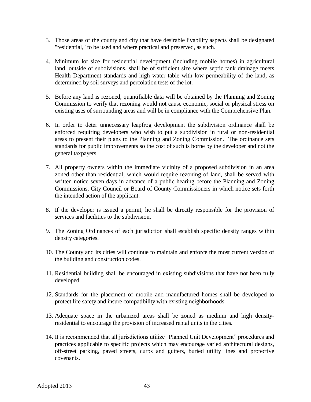- 3. Those areas of the county and city that have desirable livability aspects shall be designated "residential," to be used and where practical and preserved, as such.
- 4. Minimum lot size for residential development (including mobile homes) in agricultural land, outside of subdivisions, shall be of sufficient size where septic tank drainage meets Health Department standards and high water table with low permeability of the land, as determined by soil surveys and percolation tests of the lot.
- 5. Before any land is rezoned, quantifiable data will be obtained by the Planning and Zoning Commission to verify that rezoning would not cause economic, social or physical stress on existing uses of surrounding areas and will be in compliance with the Comprehensive Plan.
- 6. In order to deter unnecessary leapfrog development the subdivision ordinance shall be enforced requiring developers who wish to put a subdivision in rural or non-residential areas to present their plans to the Planning and Zoning Commission. The ordinance sets standards for public improvements so the cost of such is borne by the developer and not the general taxpayers.
- 7. All property owners within the immediate vicinity of a proposed subdivision in an area zoned other than residential, which would require rezoning of land, shall be served with written notice seven days in advance of a public hearing before the Planning and Zoning Commissions, City Council or Board of County Commissioners in which notice sets forth the intended action of the applicant.
- 8. If the developer is issued a permit, he shall be directly responsible for the provision of services and facilities to the subdivision.
- 9. The Zoning Ordinances of each jurisdiction shall establish specific density ranges within density categories.
- 10. The County and its cities will continue to maintain and enforce the most current version of the building and construction codes.
- 11. Residential building shall be encouraged in existing subdivisions that have not been fully developed.
- 12. Standards for the placement of mobile and manufactured homes shall be developed to protect life safety and insure compatibility with existing neighborhoods.
- 13. Adequate space in the urbanized areas shall be zoned as medium and high densityresidential to encourage the provision of increased rental units in the cities.
- 14. It is recommended that all jurisdictions utilize "Planned Unit Development" procedures and practices applicable to specific projects which may encourage varied architectural designs, off-street parking, paved streets, curbs and gutters, buried utility lines and protective covenants.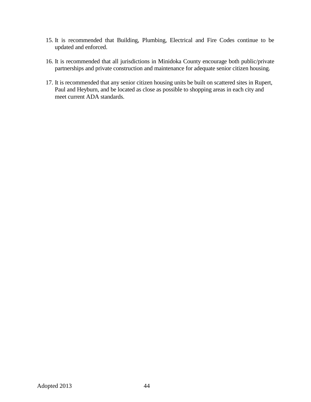- 15. It is recommended that Building, Plumbing, Electrical and Fire Codes continue to be updated and enforced.
- 16. It is recommended that all jurisdictions in Minidoka County encourage both public/private partnerships and private construction and maintenance for adequate senior citizen housing.
- 17. It is recommended that any senior citizen housing units be built on scattered sites in Rupert, Paul and Heyburn, and be located as close as possible to shopping areas in each city and meet current ADA standards.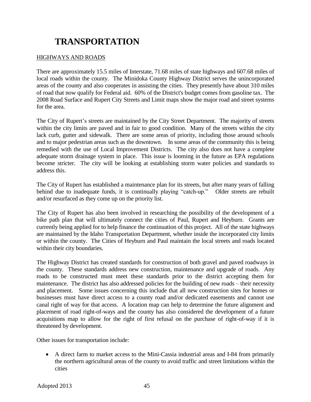# **TRANSPORTATION**

## HIGHWAYS AND ROADS

There are approximately 15.5 miles of Interstate, 71.68 miles of state highways and 607.68 miles of local roads within the county. The Minidoka County Highway District serves the unincorporated areas of the county and also cooperates in assisting the cities. They presently have about 310 miles of road that now qualify for Federal aid. 60% of the District's budget comes from gasoline tax. The 2008 Road Surface and Rupert City Streets and Limit maps show the major road and street systems for the area.

The City of Rupert's streets are maintained by the City Street Department. The majority of streets within the city limits are paved and in fair to good condition. Many of the streets within the city lack curb, gutter and sidewalk. There are some areas of priority, including those around schools and to major pedestrian areas such as the downtown. In some areas of the community this is being remedied with the use of Local Improvement Districts. The city also does not have a complete adequate storm drainage system in place. This issue is looming in the future as EPA regulations become stricter. The city will be looking at establishing storm water policies and standards to address this.

The City of Rupert has established a maintenance plan for its streets, but after many years of falling behind due to inadequate funds, it is continually playing "catch-up." Older streets are rebuilt and/or resurfaced as they come up on the priority list.

The City of Rupert has also been involved in researching the possibility of the development of a bike path plan that will ultimately connect the cities of Paul, Rupert and Heyburn. Grants are currently being applied for to help finance the continuation of this project. All of the state highways are maintained by the Idaho Transportation Department, whether inside the incorporated city limits or within the county. The Cities of Heyburn and Paul maintain the local streets and roads located within their city boundaries.

The Highway District has created standards for construction of both gravel and paved roadways in the county. These standards address new construction, maintenance and upgrade of roads. Any roads to be constructed must meet these standards prior to the district accepting them for maintenance. The district has also addressed policies for the building of new roads – their necessity and placement. Some issues concerning this include that all new construction sites for homes or businesses must have direct access to a county road and/or dedicated easements and cannot use canal right of way for that access. A location map can help to determine the future alignment and placement of road right-of-ways and the county has also considered the development of a future acquisitions map to allow for the right of first refusal on the purchase of right-of-way if it is threatened by development.

Other issues for transportation include:

 A direct farm to market access to the Mini-Cassia industrial areas and I-84 from primarily the northern agricultural areas of the county to avoid traffic and street limitations within the cities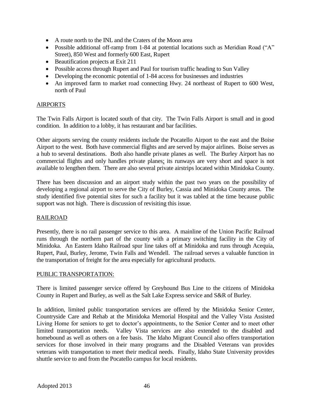- A route north to the INL and the Craters of the Moon area
- Possible additional off-ramp from 1-84 at potential locations such as Meridian Road ("A" Street), 850 West and formerly 600 East, Rupert
- Beautification projects at Exit 211
- Possible access through Rupert and Paul for tourism traffic heading to Sun Valley
- Developing the economic potential of 1-84 access for businesses and industries
- An improved farm to market road connecting Hwy. 24 northeast of Rupert to 600 West, north of Paul

## AIRPORTS

The Twin Falls Airport is located south of that city. The Twin Falls Airport is small and in good condition. In addition to a lobby, it has restaurant and bar facilities.

Other airports serving the county residents include the Pocatello Airport to the east and the Boise Airport to the west. Both have commercial flights and are served by major airlines. Boise serves as a hub to several destinations. Both also handle private planes as well. The Burley Airport has no commercial flights and only handles private planes; its runways are very short and space is not available to lengthen them. There are also several private airstrips located within Minidoka County.

There has been discussion and an airport study within the past two years on the possibility of developing a regional airport to serve the City of Burley, Cassia and Minidoka County areas. The study identified five potential sites for such a facility but it was tabled at the time because public support was not high. There is discussion of revisiting this issue.

## RAILROAD

Presently, there is no rail passenger service to this area. A mainline of the Union Pacific Railroad runs through the northern part of the county with a primary switching facility in the City of Minidoka. An Eastern Idaho Railroad spur line takes off at Minidoka and runs through Acequia, Rupert, Paul, Burley, Jerome, Twin Falls and Wendell. The railroad serves a valuable function in the transportation of freight for the area especially for agricultural products.

## PUBLIC TRANSPORTATION:

There is limited passenger service offered by Greyhound Bus Line to the citizens of Minidoka County in Rupert and Burley, as well as the Salt Lake Express service and S&R of Burley.

In addition, limited public transportation services are offered by the Minidoka Senior Center, Countryside Care and Rehab at the Minidoka Memorial Hospital and the Valley Vista Assisted Living Home for seniors to get to doctor's appointments, to the Senior Center and to meet other limited transportation needs. Valley Vista services are also extended to the disabled and homebound as well as others on a fee basis. The Idaho Migrant Council also offers transportation services for those involved in their many programs and the Disabled Veterans van provides veterans with transportation to meet their medical needs. Finally, Idaho State University provides shuttle service to and from the Pocatello campus for local residents.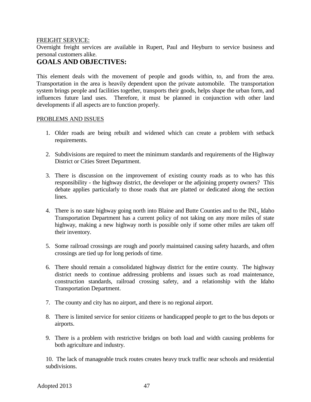## FREIGHT SERVICE:

Overnight freight services are available in Rupert, Paul and Heyburn to service business and personal customers alike.

## **GOALS AND OBJECTIVES:**

This element deals with the movement of people and goods within, to, and from the area. Transportation in the area is heavily dependent upon the private automobile. The transportation system brings people and facilities together, transports their goods, helps shape the urban form, and influences future land uses. Therefore, it must be planned in conjunction with other land developments if all aspects are to function properly.

#### PROBLEMS AND ISSUES

- 1. Older roads are being rebuilt and widened which can create a problem with setback requirements.
- 2. Subdivisions are required to meet the minimum standards and requirements of the Highway District or Cities Street Department.
- 3. There is discussion on the improvement of existing county roads as to who has this responsibility - the highway district, the developer or the adjoining property owners? This debate applies particularly to those roads that are platted or dedicated along the section lines.
- 4. There is no state highway going north into Blaine and Butte Counties and to the INL. Idaho Transportation Department has a current policy of not taking on any more miles of state highway, making a new highway north is possible only if some other miles are taken off their inventory.
- 5. Some railroad crossings are rough and poorly maintained causing safety hazards, and often crossings are tied up for long periods of time.
- 6. There should remain a consolidated highway district for the entire county. The highway district needs to continue addressing problems and issues such as road maintenance, construction standards, railroad crossing safety, and a relationship with the Idaho Transportation Department.
- 7. The county and city has no airport, and there is no regional airport.
- 8. There is limited service for senior citizens or handicapped people to get to the bus depots or airports.
- 9. There is a problem with restrictive bridges on both load and width causing problems for both agriculture and industry.

10. The lack of manageable truck routes creates heavy truck traffic near schools and residential subdivisions.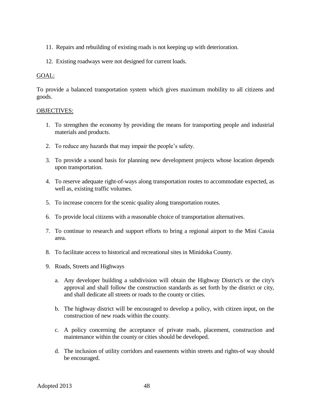- 11. Repairs and rebuilding of existing roads is not keeping up with deterioration.
- 12. Existing roadways were not designed for current loads.

## GOAL:

To provide a balanced transportation system which gives maximum mobility to all citizens and goods.

## OBJECTIVES:

- 1. To strengthen the economy by providing the means for transporting people and industrial materials and products.
- 2. To reduce any hazards that may impair the people's safety.
- 3. To provide a sound basis for planning new development projects whose location depends upon transportation.
- 4. To reserve adequate right-of-ways along transportation routes to accommodate expected, as well as, existing traffic volumes.
- 5. To increase concern for the scenic quality along transportation routes.
- 6. To provide local citizens with a reasonable choice of transportation alternatives.
- 7. To continue to research and support efforts to bring a regional airport to the Mini Cassia area.
- 8. To facilitate access to historical and recreational sites in Minidoka County.
- 9. Roads, Streets and Highways
	- a. Any developer building a subdivision will obtain the Highway District's or the city's approval and shall follow the construction standards as set forth by the district or city, and shall dedicate all streets or roads to the county or cities.
	- b. The highway district will be encouraged to develop a policy, with citizen input, on the construction of new roads within the county.
	- c. A policy concerning the acceptance of private roads, placement, construction and maintenance within the county or cities should be developed.
	- d. The inclusion of utility corridors and easements within streets and rights-of way should be encouraged.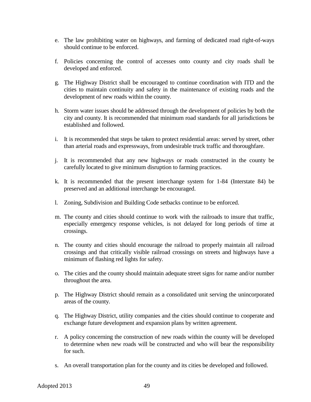- e. The law prohibiting water on highways, and farming of dedicated road right-of-ways should continue to be enforced.
- f. Policies concerning the control of accesses onto county and city roads shall be developed and enforced.
- g. The Highway District shall be encouraged to continue coordination with ITD and the cities to maintain continuity and safety in the maintenance of existing roads and the development of new roads within the county.
- h. Storm water issues should be addressed through the development of policies by both the city and county. It is recommended that minimum road standards for all jurisdictions be established and followed.
- i. It is recommended that steps be taken to protect residential areas: served by street, other than arterial roads and expressways, from undesirable truck traffic and thoroughfare.
- j. It is recommended that any new highways or roads constructed in the county be carefully located to give minimum disruption to farming practices.
- k. It is recommended that the present interchange system for 1-84 (Interstate 84) be preserved and an additional interchange be encouraged.
- l. Zoning, Subdivision and Building Code setbacks continue to be enforced.
- m. The county and cities should continue to work with the railroads to insure that traffic, especially emergency response vehicles, is not delayed for long periods of time at crossings.
- n. The county and cities should encourage the railroad to properly maintain all railroad crossings and that critically visible railroad crossings on streets and highways have a minimum of flashing red lights for safety.
- o. The cities and the county should maintain adequate street signs for name and/or number throughout the area.
- p. The Highway District should remain as a consolidated unit serving the unincorporated areas of the county.
- q. The Highway District, utility companies and the cities should continue to cooperate and exchange future development and expansion plans by written agreement.
- r. A policy concerning the construction of new roads within the county will be developed to determine when new roads will be constructed and who will bear the responsibility for such.
- s. An overall transportation plan for the county and its cities be developed and followed.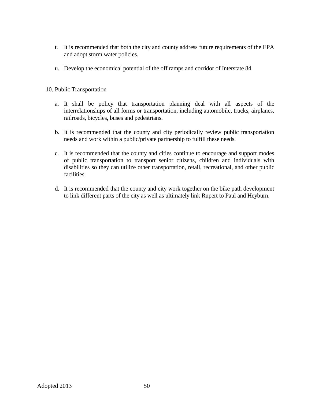- t. It is recommended that both the city and county address future requirements of the EPA and adopt storm water policies.
- u. Develop the economical potential of the off ramps and corridor of Interstate 84.

## 10. Public Transportation

- a. It shall be policy that transportation planning deal with all aspects of the interrelationships of all forms or transportation, including automobile, trucks, airplanes, railroads, bicycles, buses and pedestrians.
- b. It is recommended that the county and city periodically review public transportation needs and work within a public/private partnership to fulfill these needs.
- c. It is recommended that the county and cities continue to encourage and support modes of public transportation to transport senior citizens, children and individuals with disabilities so they can utilize other transportation, retail, recreational, and other public facilities.
- d. It is recommended that the county and city work together on the bike path development to link different parts of the city as well as ultimately link Rupert to Paul and Heyburn.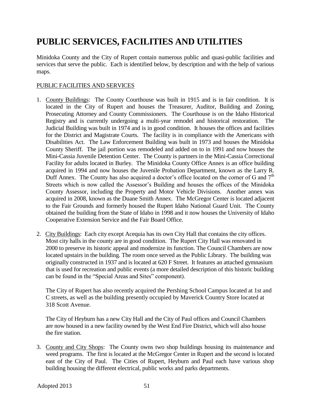# **PUBLIC SERVICES, FACILITIES AND UTILITIES**

Minidoka County and the City of Rupert contain numerous public and quasi-public facilities and services that serve the public. Each is identified below, by description and with the help of various maps.

## PUBLIC FACILITIES AND SERVICES

- 1. County Buildings: The County Courthouse was built in 1915 and is in fair condition. It is located in the City of Rupert and houses the Treasurer, Auditor, Building and Zoning, Prosecuting Attorney and County Commissioners. The Courthouse is on the Idaho Historical Registry and is currently undergoing a multi-year remodel and historical restoration. The Judicial Building was built in 1974 and is in good condition. It houses the offices and facilities for the District and Magistrate Courts. The facility is in compliance with the Americans with Disabilities Act. The Law Enforcement Building was built in 1973 and houses the Minidoka County Sheriff. The jail portion was remodeled and added on to in 1991 and now houses the Mini-Cassia Juvenile Detention Center. The County is partners in the Mini-Cassia Correctional Facility for adults located in Burley. The Minidoka County Office Annex is an office building acquired in 1994 and now houses the Juvenile Probation Department, known as the Larry R. Duff Annex. The County has also acquired a doctor's office located on the corner of G and  $7<sup>th</sup>$ Streets which is now called the Assessor's Building and houses the offices of the Minidoka County Assessor, including the Property and Motor Vehicle Divisions. Another annex was acquired in 2008, known as the Duane Smith Annex. The McGregor Center is located adjacent to the Fair Grounds and formerly housed the Rupert Idaho National Guard Unit. The County obtained the building from the State of Idaho in 1998 and it now houses the University of Idaho Cooperative Extension Service and the Fair Board Office.
- 2. City Buildings: Each city except Acequia has its own City Hall that contains the city offices. Most city halls in the county are in good condition. The Rupert City Hall was renovated in 2000 to preserve its historic appeal and modernize its function. The Council Chambers are now located upstairs in the building. The room once served as the Public Library. The building was originally constructed in 1937 and is located at 620 F Street. It features an attached gymnasium that is used for recreation and public events (a more detailed description of this historic building can be found in the "Special Areas and Sites" component).

The City of Rupert has also recently acquired the Pershing School Campus located at 1st and C streets, as well as the building presently occupied by Maverick Country Store located at 318 Scott Avenue.

The City of Heyburn has a new City Hall and the City of Paul offices and Council Chambers are now housed in a new facility owned by the West End Fire District, which will also house the fire station.

3. County and City Shops: The County owns two shop buildings housing its maintenance and weed programs. The first is located at the McGregor Center in Rupert and the second is located east of the City of Paul. The Cities of Rupert, Heyburn and Paul each have various shop building housing the different electrical, public works and parks departments.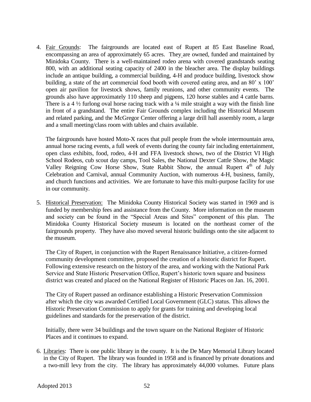4. Fair Grounds: The fairgrounds are located east of Rupert at 85 East Baseline Road, encompassing an area of approximately 65 acres. They are owned, funded and maintained by Minidoka County. There is a well-maintained rodeo arena with covered grandstands seating 800, with an additional seating capacity of 2400 in the bleacher area. The display buildings include an antique building, a commercial building, 4-H and produce building, livestock show building, a state of the art commercial food booth with covered eating area, and an 80' x 100' open air pavilion for livestock shows, family reunions, and other community events. The grounds also have approximately 110 sheep and pigpens, 120 horse stables and 4 cattle barns. There is a 4  $\frac{1}{2}$  furlong oval horse racing track with a  $\frac{1}{4}$  mile straight a way with the finish line in front of a grandstand. The entire Fair Grounds complex including the Historical Museum and related parking, and the McGregor Center offering a large drill hall assembly room, a large and a small meeting/class room with tables and chairs available.

The fairgrounds have hosted Moto-X races that pull people from the whole intermountain area, annual horse racing events, a full week of events during the county fair including entertainment, open class exhibits, food, rodeo, 4-H and FFA livestock shows, two of the District VI High School Rodeos, cub scout day camps, Tool Sales, the National Dexter Cattle Show, the Magic Valley Reigning Cow Horse Show, State Rabbit Show, the annual Rupert  $4<sup>th</sup>$  of July Celebration and Carnival, annual Community Auction, with numerous 4-H, business, family, and church functions and activities. We are fortunate to have this multi-purpose facility for use in our community.

5. Historical Preservation: The Minidoka County Historical Society was started in 1969 and is funded by membership fees and assistance from the County. More information on the museum and society can be found in the "Special Areas and Sites" component of this plan. The Minidoka County Historical Society museum is located on the northeast corner of the fairgrounds property. They have also moved several historic buildings onto the site adjacent to the museum.

The City of Rupert, in conjunction with the Rupert Renaissance Initiative, a citizen-formed community development committee, proposed the creation of a historic district for Rupert. Following extensive research on the history of the area, and working with the National Park Service and State Historic Preservation Office, Rupert's historic town square and business district was created and placed on the National Register of Historic Places on Jan. 16, 2001.

The City of Rupert passed an ordinance establishing a Historic Preservation Commission after which the city was awarded Certified Local Government (GLC) status. This allows the Historic Preservation Commission to apply for grants for training and developing local guidelines and standards for the preservation of the district.

Initially, there were 34 buildings and the town square on the National Register of Historic Places and it continues to expand.

6. Libraries: There is one public library in the county. It is the De Mary Memorial Library located in the City of Rupert. The library was founded in 1958 and is financed by private donations and a two-mill levy from the city. The library has approximately 44,000 volumes. Future plans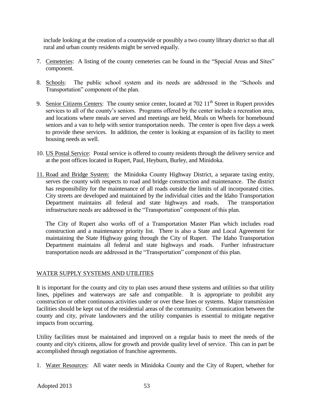include looking at the creation of a countywide or possibly a two county library district so that all rural and urban county residents might be served equally.

- 7. Cemeteries: A listing of the county cemeteries can be found in the "Special Areas and Sites" component.
- 8. Schools: The public school system and its needs are addressed in the "Schools and Transportation" component of the plan.
- 9. Senior Citizens Centers: The county senior center, located at  $702 \times 11^{th}$  Street in Rupert provides services to all of the county's seniors. Programs offered by the center include a recreation area, and locations where meals are served and meetings are held, Meals on Wheels for homebound seniors and a van to help with senior transportation needs. The center is open five days a week to provide these services. In addition, the center is looking at expansion of its facility to meet housing needs as well.
- 10. US Postal Service: Postal service is offered to county residents through the delivery service and at the post offices located in Rupert, Paul, Heyburn, Burley, and Minidoka.
- 11. Road and Bridge System: the Minidoka County Highway District, a separate taxing entity, serves the county with respects to road and bridge construction and maintenance. The district has responsibility for the maintenance of all roads outside the limits of all incorporated cities. City streets are developed and maintained by the individual cities and the Idaho Transportation Department maintains all federal and state highways and roads. The transportation infrastructure needs are addressed in the "Transportation" component of this plan.

The City of Rupert also works off of a Transportation Master Plan which includes road construction and a maintenance priority list. There is also a State and Local Agreement for maintaining the State Highway going through the City of Rupert. The Idaho Transportation Department maintains all federal and state highways and roads. Further infrastructure transportation needs are addressed in the "Transportation" component of this plan.

## WATER SUPPLY SYSTEMS AND UTILITIES

It is important for the county and city to plan uses around these systems and utilities so that utility lines, pipelines and waterways are safe and compatible. It is appropriate to prohibit any construction or other continuous activities under or over these lines or systems. Major transmission facilities should be kept out of the residential areas of the community. Communication between the county and city, private landowners and the utility companies is essential to mitigate negative impacts from occurring.

Utility facilities must be maintained and improved on a regular basis to meet the needs of the county and city's citizens, allow for growth and provide quality level of service. This can in part be accomplished through negotiation of franchise agreements.

1. Water Resources: All water needs in Minidoka County and the City of Rupert, whether for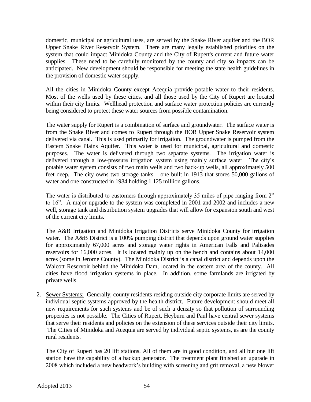domestic, municipal or agricultural uses, are served by the Snake River aquifer and the BOR Upper Snake River Reservoir System. There are many legally established priorities on the system that could impact Minidoka County and the City of Rupert's current and future water supplies. These need to be carefully monitored by the county and city so impacts can be anticipated. New development should be responsible for meeting the state health guidelines in the provision of domestic water supply.

All the cities in Minidoka County except Acequia provide potable water to their residents. Most of the wells used by these cities, and all those used by the City of Rupert are located within their city limits. Wellhead protection and surface water protection policies are currently being considered to protect these water sources from possible contamination.

The water supply for Rupert is a combination of surface and groundwater. The surface water is from the Snake River and comes to Rupert through the BOR Upper Snake Reservoir system delivered via canal. This is used primarily for irrigation. The groundwater is pumped from the Eastern Snake Plains Aquifer. This water is used for municipal, agricultural and domestic purposes. The water is delivered through two separate systems. The irrigation water is delivered through a low-pressure irrigation system using mainly surface water. The city's potable water system consists of two main wells and two back-up wells, all approximately 500 feet deep. The city owns two storage tanks – one built in 1913 that stores 50,000 gallons of water and one constructed in 1984 holding 1.125 million gallons.

The water is distributed to customers through approximately 35 miles of pipe ranging from 2" to 16". A major upgrade to the system was completed in 2001 and 2002 and includes a new well, storage tank and distribution system upgrades that will allow for expansion south and west of the current city limits.

The A&B Irrigation and Minidoka Irrigation Districts serve Minidoka County for irrigation water. The A&B District is a 100% pumping district that depends upon ground water supplies for approximately 67,000 acres and storage water rights in American Falls and Palisades reservoirs for 16,000 acres. It is located mainly up on the bench and contains about 14,000 acres (some in Jerome County). The Minidoka District is a canal district and depends upon the Walcott Reservoir behind the Minidoka Dam, located in the eastern area of the county. All cities have flood irrigation systems in place. In addition, some farmlands are irrigated by private wells.

2. Sewer Systems: Generally, county residents residing outside city corporate limits are served by individual septic systems approved by the health district. Future development should meet all new requirements for such systems and be of such a density so that pollution of surrounding properties is not possible. The Cities of Rupert, Heyburn and Paul have central sewer systems that serve their residents and policies on the extension of these services outside their city limits. The Cities of Minidoka and Acequia are served by individual septic systems, as are the county rural residents.

The City of Rupert has 20 lift stations. All of them are in good condition, and all but one lift station have the capability of a backup generator. The treatment plant finished an upgrade in 2008 which included a new headwork's building with screening and grit removal, a new blower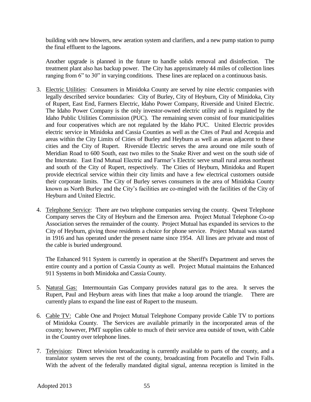building with new blowers, new aeration system and clarifiers, and a new pump station to pump the final effluent to the lagoons.

Another upgrade is planned in the future to handle solids removal and disinfection. The treatment plant also has backup power. The City has approximately 44 miles of collection lines ranging from 6" to 30" in varying conditions. These lines are replaced on a continuous basis.

- 3. Electric Utilities: Consumers in Minidoka County are served by nine electric companies with legally described service boundaries: City of Burley, City of Heyburn, City of Minidoka, City of Rupert, East End, Farmers Electric, Idaho Power Company, Riverside and United Electric. The Idaho Power Company is the only investor-owned electric utility and is regulated by the Idaho Public Utilities Commission (PUC). The remaining seven consist of four municipalities and four cooperatives which are not regulated by the Idaho PUC. United Electric provides electric service in Minidoka and Cassia Counties as well as the Cites of Paul and Acequia and areas within the City Limits of Cities of Burley and Heyburn as well as areas adjacent to these cities and the City of Rupert. Riverside Electric serves the area around one mile south of Meridian Road to 600 South, east two miles to the Snake River and west on the south side of the Interstate. East End Mutual Electric and Farmer's Electric serve small rural areas northeast and south of the City of Rupert, respectively. The Cities of Heyburn, Minidoka and Rupert provide electrical service within their city limits and have a few electrical customers outside their corporate limits. The City of Burley serves consumers in the area of Minidoka County known as North Burley and the City's facilities are co-mingled with the facilities of the City of Heyburn and United Electric.
- 4. Telephone Service: There are two telephone companies serving the county. Qwest Telephone Company serves the City of Heyburn and the Emerson area. Project Mutual Telephone Co-op Association serves the remainder of the county. Project Mutual has expanded its services to the City of Heyburn, giving those residents a choice for phone service. Project Mutual was started in 1916 and has operated under the present name since 1954. All lines are private and most of the cable is buried underground.

The Enhanced 911 System is currently in operation at the Sheriff's Department and serves the entire county and a portion of Cassia County as well. Project Mutual maintains the Enhanced 911 Systems in both Minidoka and Cassia County.

- 5. Natural Gas: Intermountain Gas Company provides natural gas to the area. It serves the Rupert, Paul and Heyburn areas with lines that make a loop around the triangle. There are currently plans to expand the line east of Rupert to the museum.
- 6. Cable TV: Cable One and Project Mutual Telephone Company provide Cable TV to portions of Minidoka County. The Services are available primarily in the incorporated areas of the county; however, PMT supplies cable to much of their service area outside of town, with Cable in the Country over telephone lines.
- 7. Television: Direct television broadcasting is currently available to parts of the county, and a translator system serves the rest of the county, broadcasting from Pocatello and Twin Falls. With the advent of the federally mandated digital signal, antenna reception is limited in the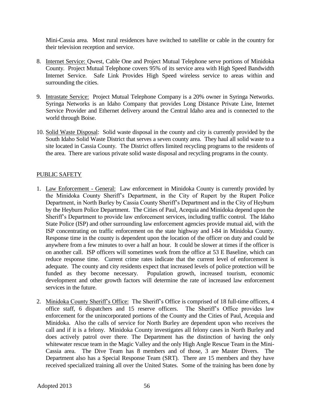Mini-Cassia area. Most rural residences have switched to satellite or cable in the country for their television reception and service.

- 8. Internet Service: Qwest, Cable One and Project Mutual Telephone serve portions of Minidoka County. Project Mutual Telephone covers 95% of its service area with High Speed Bandwidth Internet Service. Safe Link Provides High Speed wireless service to areas within and surrounding the cities.
- 9. Intrastate Service: Project Mutual Telephone Company is a 20% owner in Syringa Networks. Syringa Networks is an Idaho Company that provides Long Distance Private Line, Internet Service Provider and Ethernet delivery around the Central Idaho area and is connected to the world through Boise.
- 10. Solid Waste Disposal: Solid waste disposal in the county and city is currently provided by the South Idaho Solid Waste District that serves a seven county area. They haul all solid waste to a site located in Cassia County. The District offers limited recycling programs to the residents of the area. There are various private solid waste disposal and recycling programs in the county.

## PUBLIC SAFETY

- 1. Law Enforcement General: Law enforcement in Minidoka County is currently provided by the Minidoka County Sheriff's Department, in the City of Rupert by the Rupert Police Department, in North Burley by Cassia County Sheriff's Department and in the City of Heyburn by the Heyburn Police Department. The Cities of Paul, Acequia and Minidoka depend upon the Sheriff's Department to provide law enforcement services, including traffic control. The Idaho State Police (ISP) and other surrounding law enforcement agencies provide mutual aid, with the ISP concentrating on traffic enforcement on the state highway and I-84 in Minidoka County. Response time in the county is dependent upon the location of the officer on duty and could be anywhere from a few minutes to over a half an hour. It could be slower at times if the officer is on another call. ISP officers will sometimes work from the office at 53 E Baseline, which can reduce response time. Current crime rates indicate that the current level of enforcement is adequate. The county and city residents expect that increased levels of police protection will be funded as they become necessary. Population growth, increased tourism, economic development and other growth factors will determine the rate of increased law enforcement services in the future.
- 2. Minidoka County Sheriff's Office: The Sheriff's Office is comprised of 18 full-time officers, 4 office staff, 6 dispatchers and 15 reserve officers. The Sheriff's Office provides law enforcement for the unincorporated portions of the County and the Cities of Paul, Acequia and Minidoka. Also the calls of service for North Burley are dependent upon who receives the call and if it is a felony. Minidoka County investigates all felony cases in North Burley and does actively patrol over there. The Department has the distinction of having the only whitewater rescue team in the Magic Valley and the only High Angle Rescue Team in the Mini-Cassia area. The Dive Team has 8 members and of those, 3 are Master Divers. The Department also has a Special Response Team (SRT). There are 15 members and they have received specialized training all over the United States. Some of the training has been done by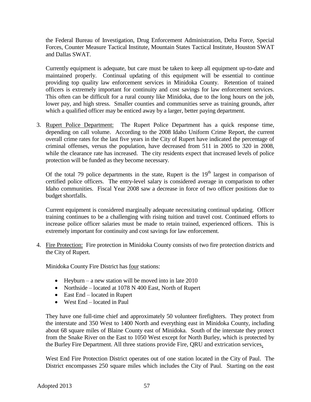the Federal Bureau of Investigation, Drug Enforcement Administration, Delta Force, Special Forces, Counter Measure Tactical Institute, Mountain States Tactical Institute, Houston SWAT and Dallas SWAT.

Currently equipment is adequate, but care must be taken to keep all equipment up-to-date and maintained properly. Continual updating of this equipment will be essential to continue providing top quality law enforcement services in Minidoka County. Retention of trained officers is extremely important for continuity and cost savings for law enforcement services. This often can be difficult for a rural county like Minidoka, due to the long hours on the job, lower pay, and high stress. Smaller counties and communities serve as training grounds, after which a qualified officer may be enticed away by a larger, better paying department.

3. Rupert Police Department: The Rupert Police Department has a quick response time, depending on call volume. According to the 2008 Idaho Uniform Crime Report, the current overall crime rates for the last five years in the City of Rupert have indicated the percentage of criminal offenses, versus the population, have decreased from 511 in 2005 to 320 in 2008, while the clearance rate has increased. The city residents expect that increased levels of police protection will be funded as they become necessary.

Of the total 79 police departments in the state, Rupert is the  $19<sup>th</sup>$  largest in comparison of certified police officers. The entry-level salary is considered average in comparison to other Idaho communities. Fiscal Year 2008 saw a decrease in force of two officer positions due to budget shortfalls.

Current equipment is considered marginally adequate necessitating continual updating. Officer training continues to be a challenging with rising tuition and travel cost. Continued efforts to increase police officer salaries must be made to retain trained, experienced officers. This is extremely important for continuity and cost savings for law enforcement.

4. Fire Protection: Fire protection in Minidoka County consists of two fire protection districts and the City of Rupert.

Minidoka County Fire District has four stations:

- $\bullet$  Heyburn a new station will be moved into in late 2010
- Northside located at 1078 N 400 East, North of Rupert
- East End located in Rupert
- West End located in Paul

They have one full-time chief and approximately 50 volunteer firefighters. They protect from the interstate and 350 West to 1400 North and everything east in Minidoka County, including about 68 square miles of Blaine County east of Minidoka. South of the interstate they protect from the Snake River on the East to 1050 West except for North Burley, which is protected by the Burley Fire Department. All three stations provide Fire, QRU and extrication services.

West End Fire Protection District operates out of one station located in the City of Paul. The District encompasses 250 square miles which includes the City of Paul. Starting on the east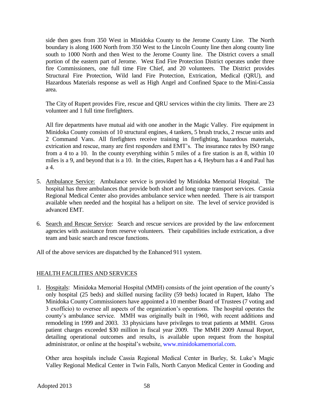side then goes from 350 West in Minidoka County to the Jerome County Line. The North boundary is along 1600 North from 350 West to the Lincoln County line then along county line south to 1000 North and then West to the Jerome County line. The District covers a small portion of the eastern part of Jerome. West End Fire Protection District operates under three fire Commissioners, one full time Fire Chief, and 20 volunteers. The District provides Structural Fire Protection, Wild land Fire Protection, Extrication, Medical (QRU), and Hazardous Materials response as well as High Angel and Confined Space to the Mini-Cassia area.

The City of Rupert provides Fire, rescue and QRU services within the city limits. There are 23 volunteer and 1 full time firefighters.

All fire departments have mutual aid with one another in the Magic Valley. Fire equipment in Minidoka County consists of 10 structural engines, 4 tankers, 5 brush trucks, 2 rescue units and 2 Command Vans. All firefighters receive training in firefighting, hazardous materials, extrication and rescue, many are first responders and EMT's. The insurance rates by ISO range from a 4 to a 10. In the county everything within 5 miles of a fire station is an 8, within 10 miles is a 9, and beyond that is a 10. In the cities, Rupert has a 4, Heyburn has a 4 and Paul has a 4.

- 5. Ambulance Service: Ambulance service is provided by Minidoka Memorial Hospital. The hospital has three ambulances that provide both short and long range transport services. Cassia Regional Medical Center also provides ambulance service when needed. There is air transport available when needed and the hospital has a heliport on site. The level of service provided is advanced EMT.
- 6. Search and Rescue Service: Search and rescue services are provided by the law enforcement agencies with assistance from reserve volunteers. Their capabilities include extrication, a dive team and basic search and rescue functions.

All of the above services are dispatched by the Enhanced 911 system.

## HEALTH FACILITIES AND SERVICES

1. Hospitals: Minidoka Memorial Hospital (MMH) consists of the joint operation of the county's only hospital (25 beds) and skilled nursing facility (59 beds) located in Rupert, Idaho The Minidoka County Commissioners have appointed a 10 member Board of Trustees (7 voting and 3 exofficio) to oversee all aspects of the organization's operations. The hospital operates the county's ambulance service. MMH was originally built in 1960, with recent additions and remodeling in 1999 and 2003. 33 physicians have privileges to treat patients at MMH. Gross patient charges exceeded \$30 million in fiscal year 2009. The MMH 2009 Annual Report, detailing operational outcomes and results, is available upon request from the hospital administrator, or online at the hospital's website, [www.minidokamemorial.com.](http://www.minidokamemorial.com/)

Other area hospitals include Cassia Regional Medical Center in Burley, St. Luke's Magic Valley Regional Medical Center in Twin Falls, North Canyon Medical Center in Gooding and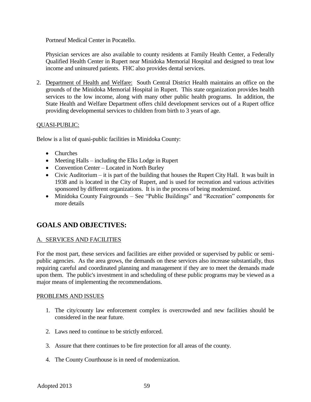Portneuf Medical Center in Pocatello.

Physician services are also available to county residents at Family Health Center, a Federally Qualified Health Center in Rupert near Minidoka Memorial Hospital and designed to treat low income and uninsured patients. FHC also provides dental services.

2. Department of Health and Welfare: South Central District Health maintains an office on the grounds of the Minidoka Memorial Hospital in Rupert. This state organization provides health services to the low income, along with many other public health programs. In addition, the State Health and Welfare Department offers child development services out of a Rupert office providing developmental services to children from birth to 3 years of age.

## QUASI-PUBLIC:

Below is a list of quasi-public facilities in Minidoka County:

- Churches
- Meeting Halls including the Elks Lodge in Rupert
- Convention Center Located in North Burley
- Civic Auditorium it is part of the building that houses the Rupert City Hall. It was built in 1938 and is located in the City of Rupert, and is used for recreation and various activities sponsored by different organizations. It is in the process of being modernized.
- Minidoka County Fairgrounds See "Public Buildings" and "Recreation" components for more details

## **GOALS AND OBJECTIVES:**

## A. SERVICES AND FACILITIES

For the most part, these services and facilities are either provided or supervised by public or semipublic agencies. As the area grows, the demands on these services also increase substantially, thus requiring careful and coordinated planning and management if they are to meet the demands made upon them. The public's investment in and scheduling of these public programs may be viewed as a major means of implementing the recommendations.

### PROBLEMS AND ISSUES

- 1. The city/county law enforcement complex is overcrowded and new facilities should be considered in the near future.
- 2. Laws need to continue to be strictly enforced.
- 3. Assure that there continues to be fire protection for all areas of the county.
- 4. The County Courthouse is in need of modernization.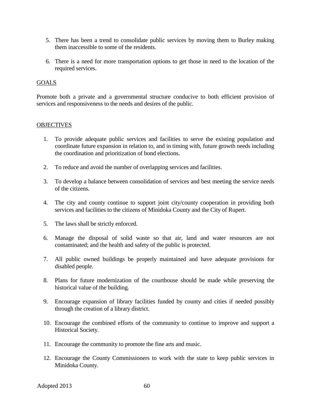- 5. There has been a trend to consolidate public services by moving them to Burley making them inaccessible to some of the residents.
- 6. There is a need for more transportation options to get those in need to the location of the required services.

## GOALS

Promote both a private and a governmental structure conducive to both efficient provision of services and responsiveness to the needs and desires of the public.

### **OBJECTIVES**

- 1. To provide adequate public services and facilities to serve the existing population and coordinate future expansion in relation to, and in timing with, future growth needs including the coordination and prioritization of bond elections.
- 2. To reduce and avoid the number of overlapping services and facilities.
- 3. To develop a balance between consolidation of services and best meeting the service needs of the citizens.
- 4. The city and county continue to support joint city/county cooperation in providing both services and facilities to the citizens of Minidoka County and the City of Rupert.
- 5. The laws shall be strictly enforced.
- 6. Manage the disposal of solid waste so that air, land and water resources are not contaminated; and the health and safety of the public is protected.
- 7. All public owned buildings be properly maintained and have adequate provisions for disabled people.
- 8. Plans for future modernization of the courthouse should be made while preserving the historical value of the building.
- 9. Encourage expansion of library facilities funded by county and cities if needed possibly through the creation of a library district.
- 10. Encourage the combined efforts of the community to continue to improve and support a Historical Society.
- 11. Encourage the community to promote the fine arts and music.
- 12. Encourage the County Commissioners to work with the state to keep public services in Minidoka County.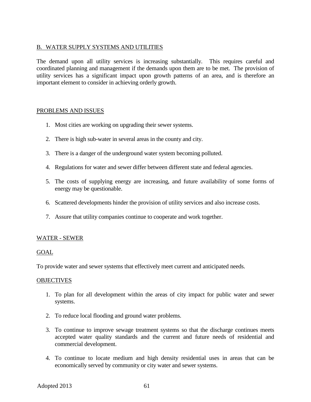## B. WATER SUPPLY SYSTEMS AND UTILITIES

The demand upon all utility services is increasing substantially. This requires careful and coordinated planning and management if the demands upon them are to be met. The provision of utility services has a significant impact upon growth patterns of an area, and is therefore an important element to consider in achieving orderly growth.

## PROBLEMS AND ISSUES

- 1. Most cities are working on upgrading their sewer systems.
- 2. There is high sub-water in several areas in the county and city.
- 3. There is a danger of the underground water system becoming polluted.
- 4. Regulations for water and sewer differ between different state and federal agencies.
- 5. The costs of supplying energy are increasing, and future availability of some forms of energy may be questionable.
- 6. Scattered developments hinder the provision of utility services and also increase costs.
- 7. Assure that utility companies continue to cooperate and work together.

## WATER - SEWER

### GOAL

To provide water and sewer systems that effectively meet current and anticipated needs.

### **OBJECTIVES**

- 1. To plan for all development within the areas of city impact for public water and sewer systems.
- 2. To reduce local flooding and ground water problems.
- 3. To continue to improve sewage treatment systems so that the discharge continues meets accepted water quality standards and the current and future needs of residential and commercial development.
- 4. To continue to locate medium and high density residential uses in areas that can be economically served by community or city water and sewer systems.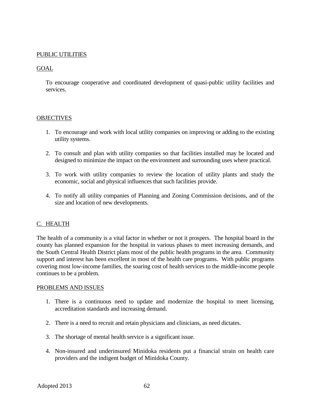## PUBLIC UTILITIES

## GOAL

To encourage cooperative and coordinated development of quasi-public utility facilities and services.

#### **OBJECTIVES**

- 1. To encourage and work with local utility companies on improving or adding to the existing utility systems.
- 2. To consult and plan with utility companies so that facilities installed may be located and designed to minimize the impact on the environment and surrounding uses where practical.
- 3. To work with utility companies to review the location of utility plants and study the economic, social and physical influences that such facilities provide.
- 4. To notify all utility companies of Planning and Zoning Commission decisions, and of the size and location of new developments.

### C. HEALTH

The health of a community is a vital factor in whether or not it prospers. The hospital board in the county has planned expansion for the hospital in various phases to meet increasing demands, and the South Central Health District plans most of the public health programs in the area. Community support and interest has been excellent in most of the health care programs. With public programs covering most low-income families, the soaring cost of health services to the middle-income people continues to be a problem.

#### PROBLEMS AND ISSUES

- 1. There is a continuous need to update and modernize the hospital to meet licensing, accreditation standards and increasing demand.
- 2. There is a need to recruit and retain physicians and clinicians, as need dictates.
- 3. The shortage of mental health service is a significant issue.
- 4. Non-insured and underinsured Minidoka residents put a financial strain on health care providers and the indigent budget of Minidoka County.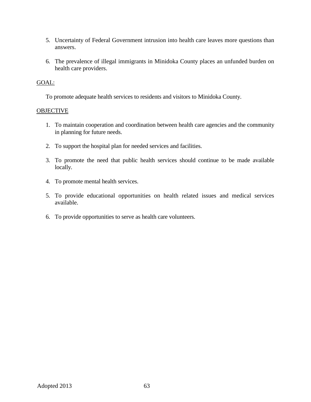- 5. Uncertainty of Federal Government intrusion into health care leaves more questions than answers.
- 6. The prevalence of illegal immigrants in Minidoka County places an unfunded burden on health care providers.

## GOAL:

To promote adequate health services to residents and visitors to Minidoka County.

## **OBJECTIVE**

- 1. To maintain cooperation and coordination between health care agencies and the community in planning for future needs.
- 2. To support the hospital plan for needed services and facilities.
- 3. To promote the need that public health services should continue to be made available locally.
- 4. To promote mental health services.
- 5. To provide educational opportunities on health related issues and medical services available.
- 6. To provide opportunities to serve as health care volunteers.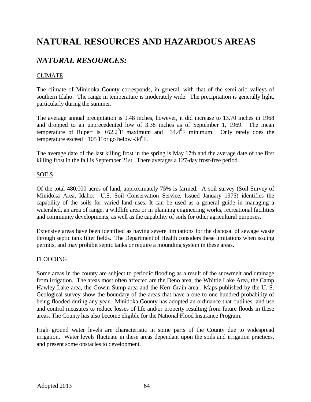# **NATURAL RESOURCES AND HAZARDOUS AREAS**

## *NATURAL RESOURCES:*

## CLIMATE

The climate of Minidoka County corresponds, in general, with that of the semi-arid valleys of southern Idaho. The range in temperature is moderately wide. The precipitation is generally light, particularly during the summer.

The average annual precipitation is 9.48 inches, however, it did increase to 13.70 inches in 1968 and dropped to an unprecedented low of 3.38 inches as of September 1, 1969. The mean temperature of Rupert is  $+62.2^{\circ}$ F maximum and  $+34.4^{\circ}$ F minimum. Only rarely does the temperature exceed  $+105^{\circ}$ F or go below -34 $^{\circ}$ F.

The average date of the last killing frost in the spring is May 17th and the average date of the first killing frost in the fall is September 21st. There averages a 127-day frost-free period.

## **SOILS**

Of the total 480,000 acres of land, approximately 75% is farmed. A soil survey (Soil Survey of Minidoka Area, Idaho. U.S. Soil Conservation Service, Issued January 1975) identifies the capability of the soils for varied land uses. It can be used as a general guide in managing a watershed, an area of range, a wildlife area or in planning engineering works, recreational facilities and community developments, as well as the capability of soils for other agricultural purposes.

Extensive areas have been identified as having severe limitations for the disposal of sewage waste through septic tank filter fields. The Department of Health considers these limitations when issuing permits, and may prohibit septic tanks or require a mounding system in these areas.

### FLOODING

Some areas in the county are subject to periodic flooding as a result of the snowmelt and drainage from irrigation. The areas most often affected are the Deno area, the Whittle Lake Area, the Camp Hawley Lake area, the Gowin Sump area and the Kerr Grain area. Maps published by the U. S. Geological survey show the boundary of the areas that have a one to one hundred probability of being flooded during any year. Minidoka County has adopted an ordinance that outlines land use and control measures to reduce losses of life and/or property resulting from future floods in these areas. The County has also become eligible for the National Flood Insurance Program.

High ground water levels are characteristic in some parts of the County due to widespread irrigation. Water levels fluctuate in these areas dependant upon the soils and irrigation practices, and present some obstacles to development.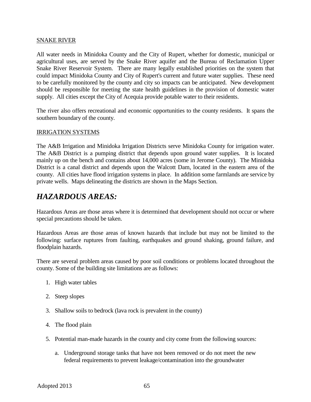## SNAKE RIVER

All water needs in Minidoka County and the City of Rupert, whether for domestic, municipal or agricultural uses, are served by the Snake River aquifer and the Bureau of Reclamation Upper Snake River Reservoir System. There are many legally established priorities on the system that could impact Minidoka County and City of Rupert's current and future water supplies. These need to be carefully monitored by the county and city so impacts can be anticipated. New development should be responsible for meeting the state health guidelines in the provision of domestic water supply. All cities except the City of Acequia provide potable water to their residents.

The river also offers recreational and economic opportunities to the county residents. It spans the southern boundary of the county.

## IRRIGATION SYSTEMS

The A&B Irrigation and Minidoka Irrigation Districts serve Minidoka County for irrigation water. The A&B District is a pumping district that depends upon ground water supplies. It is located mainly up on the bench and contains about 14,000 acres (some in Jerome County). The Minidoka District is a canal district and depends upon the Walcott Dam, located in the eastern area of the county. All cities have flood irrigation systems in place. In addition some farmlands are service by private wells. Maps delineating the districts are shown in the Maps Section.

## *HAZARDOUS AREAS:*

Hazardous Areas are those areas where it is determined that development should not occur or where special precautions should be taken.

Hazardous Areas are those areas of known hazards that include but may not be limited to the following: surface ruptures from faulting, earthquakes and ground shaking, ground failure, and floodplain hazards.

There are several problem areas caused by poor soil conditions or problems located throughout the county. Some of the building site limitations are as follows:

- 1. High water tables
- 2. Steep slopes
- 3. Shallow soils to bedrock (lava rock is prevalent in the county)
- 4. The flood plain
- 5. Potential man-made hazards in the county and city come from the following sources:
	- a. Underground storage tanks that have not been removed or do not meet the new federal requirements to prevent leakage/contamination into the groundwater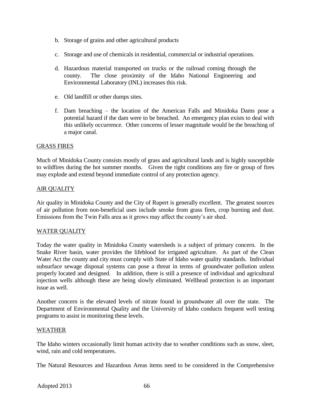- b. Storage of grains and other agricultural products
- c. Storage and use of chemicals in residential, commercial or industrial operations.
- d. Hazardous material transported on trucks or the railroad coming through the county. The close proximity of the Idaho National Engineering and Environmental Laboratory (INL) increases this risk.
- e. Old landfill or other dumps sites.
- f. Dam breaching the location of the American Falls and Minidoka Dams pose a potential hazard if the dam were to be breached. An emergency plan exists to deal with this unlikely occurrence. Other concerns of lesser magnitude would be the breaching of a major canal.

### GRASS FIRES

Much of Minidoka County consists mostly of grass and agricultural lands and is highly susceptible to wildfires during the hot summer months. Given the right conditions any fire or group of fires may explode and extend beyond immediate control of any protection agency.

### AIR QUALITY

Air quality in Minidoka County and the City of Rupert is generally excellent. The greatest sources of air pollution from non-beneficial uses include smoke from grass fires, crop burning and dust. Emissions from the Twin Falls area as it grows may affect the county's air shed.

### WATER QUALITY

Today the water quality in Minidoka County watersheds is a subject of primary concern. In the Snake River basin, water provides the lifeblood for irrigated agriculture. As part of the Clean Water Act the county and city must comply with State of Idaho water quality standards. Individual subsurface sewage disposal systems can pose a threat in terms of groundwater pollution unless properly located and designed. In addition, there is still a presence of individual and agricultural injection wells although these are being slowly eliminated. Wellhead protection is an important issue as well.

Another concern is the elevated levels of nitrate found in groundwater all over the state. The Department of Environmental Quality and the University of Idaho conducts frequent well testing programs to assist in monitoring these levels.

### WEATHER

The Idaho winters occasionally limit human activity due to weather conditions such as snow, sleet, wind, rain and cold temperatures.

The Natural Resources and Hazardous Areas items need to be considered in the Comprehensive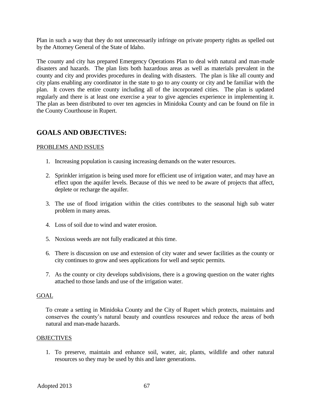Plan in such a way that they do not unnecessarily infringe on private property rights as spelled out by the Attorney General of the State of Idaho.

The county and city has prepared Emergency Operations Plan to deal with natural and man-made disasters and hazards. The plan lists both hazardous areas as well as materials prevalent in the county and city and provides procedures in dealing with disasters. The plan is like all county and city plans enabling any coordinator in the state to go to any county or city and be familiar with the plan. It covers the entire county including all of the incorporated cities. The plan is updated regularly and there is at least one exercise a year to give agencies experience in implementing it. The plan as been distributed to over ten agencies in Minidoka County and can be found on file in the County Courthouse in Rupert.

## **GOALS AND OBJECTIVES:**

## PROBLEMS AND ISSUES

- 1. Increasing population is causing increasing demands on the water resources.
- 2. Sprinkler irrigation is being used more for efficient use of irrigation water, and may have an effect upon the aquifer levels. Because of this we need to be aware of projects that affect, deplete or recharge the aquifer.
- 3. The use of flood irrigation within the cities contributes to the seasonal high sub water problem in many areas.
- 4. Loss of soil due to wind and water erosion.
- 5. Noxious weeds are not fully eradicated at this time.
- 6. There is discussion on use and extension of city water and sewer facilities as the county or city continues to grow and sees applications for well and septic permits.
- 7. As the county or city develops subdivisions, there is a growing question on the water rights attached to those lands and use of the irrigation water.

### GOAL

To create a setting in Minidoka County and the City of Rupert which protects, maintains and conserves the county's natural beauty and countless resources and reduce the areas of both natural and man-made hazards.

### **OBJECTIVES**

1. To preserve, maintain and enhance soil, water, air, plants, wildlife and other natural resources so they may be used by this and later generations.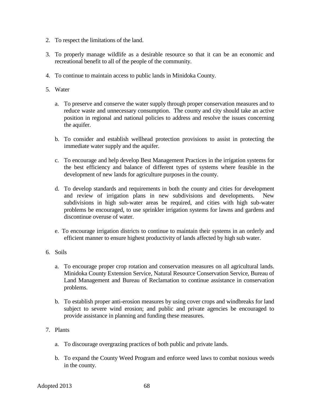- 2. To respect the limitations of the land.
- 3. To properly manage wildlife as a desirable resource so that it can be an economic and recreational benefit to all of the people of the community.
- 4. To continue to maintain access to public lands in Minidoka County.
- 5. Water
	- a. To preserve and conserve the water supply through proper conservation measures and to reduce waste and unnecessary consumption. The county and city should take an active position in regional and national policies to address and resolve the issues concerning the aquifer.
	- b. To consider and establish wellhead protection provisions to assist in protecting the immediate water supply and the aquifer.
	- c. To encourage and help develop Best Management Practices in the irrigation systems for the best efficiency and balance of different types of systems where feasible in the development of new lands for agriculture purposes in the county.
	- d. To develop standards and requirements in both the county and cities for development and review of irrigation plans in new subdivisions and developments. New subdivisions in high sub-water areas be required, and cities with high sub-water problems be encouraged, to use sprinkler irrigation systems for lawns and gardens and discontinue overuse of water.
	- e. To encourage irrigation districts to continue to maintain their systems in an orderly and efficient manner to ensure highest productivity of lands affected by high sub water.
- 6. Soils
	- a. To encourage proper crop rotation and conservation measures on all agricultural lands. Minidoka County Extension Service, Natural Resource Conservation Service, Bureau of Land Management and Bureau of Reclamation to continue assistance in conservation problems.
	- b. To establish proper anti-erosion measures by using cover crops and windbreaks for land subject to severe wind erosion; and public and private agencies be encouraged to provide assistance in planning and funding these measures.
- 7. Plants
	- a. To discourage overgrazing practices of both public and private lands.
	- b. To expand the County Weed Program and enforce weed laws to combat noxious weeds in the county.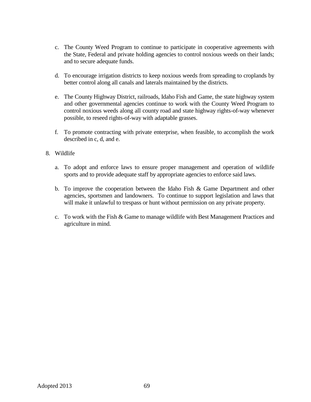- c. The County Weed Program to continue to participate in cooperative agreements with the State, Federal and private holding agencies to control noxious weeds on their lands; and to secure adequate funds.
- d. To encourage irrigation districts to keep noxious weeds from spreading to croplands by better control along all canals and laterals maintained by the districts.
- e. The County Highway District, railroads, Idaho Fish and Game, the state highway system and other governmental agencies continue to work with the County Weed Program to control noxious weeds along all county road and state highway rights-of-way whenever possible, to reseed rights-of-way with adaptable grasses.
- f. To promote contracting with private enterprise, when feasible, to accomplish the work described in c, d, and e.

## 8. Wildlife

- a. To adopt and enforce laws to ensure proper management and operation of wildlife sports and to provide adequate staff by appropriate agencies to enforce said laws.
- b. To improve the cooperation between the Idaho Fish & Game Department and other agencies, sportsmen and landowners. To continue to support legislation and laws that will make it unlawful to trespass or hunt without permission on any private property.
- c. To work with the Fish & Game to manage wildlife with Best Management Practices and agriculture in mind.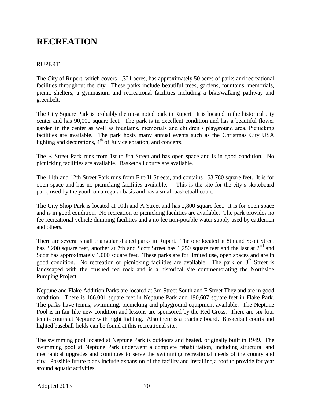# **RECREATION**

## RUPERT

The City of Rupert, which covers 1,321 acres, has approximately 50 acres of parks and recreational facilities throughout the city. These parks include beautiful trees, gardens, fountains, memorials, picnic shelters, a gymnasium and recreational facilities including a bike/walking pathway and greenbelt.

The City Square Park is probably the most noted park in Rupert. It is located in the historical city center and has 90,000 square feet. The park is in excellent condition and has a beautiful flower garden in the center as well as fountains, memorials and children's playground area. Picnicking facilities are available. The park hosts many annual events such as the Christmas City USA lighting and decorations,  $4<sup>th</sup>$  of July celebration, and concerts.

The K Street Park runs from 1st to 8th Street and has open space and is in good condition. No picnicking facilities are available. Basketball courts are available.

The 11th and 12th Street Park runs from F to H Streets, and contains 153,780 square feet. It is for open space and has no picnicking facilities available. This is the site for the city's skateboard park, used by the youth on a regular basis and has a small basketball court.

The City Shop Park is located at 10th and A Street and has 2,800 square feet. It is for open space and is in good condition. No recreation or picnicking facilities are available. The park provides no fee recreational vehicle dumping facilities and a no fee non-potable water supply used by cattlemen and others.

There are several small triangular shaped parks in Rupert. The one located at 8th and Scott Street has 3,200 square feet, another at 7th and Scott Street has 1,250 square feet and the last at 2<sup>nd</sup> and Scott has approximately 1,000 square feet. These parks are for limited use, open spaces and are in good condition. No recreation or picnicking facilities are available. The park on  $8<sup>th</sup>$  Street is landscaped with the crushed red rock and is a historical site commemorating the Northside Pumping Project.

Neptune and Flake Addition Parks are located at 3rd Street South and F Street They and are in good condition. There is 166,001 square feet in Neptune Park and 190,607 square feet in Flake Park. The parks have tennis, swimming, picnicking and playground equipment available. The Neptune Pool is in fair like new condition and lessons are sponsored by the Red Cross. There are six four tennis courts at Neptune with night lighting. Also there is a practice board. Basketball courts and lighted baseball fields can be found at this recreational site.

The swimming pool located at Neptune Park is outdoors and heated, originally built in 1949. The swimming pool at Neptune Park underwent a complete rehabilitation, including structural and mechanical upgrades and continues to serve the swimming recreational needs of the county and city. Possible future plans include expansion of the facility and installing a roof to provide for year around aquatic activities.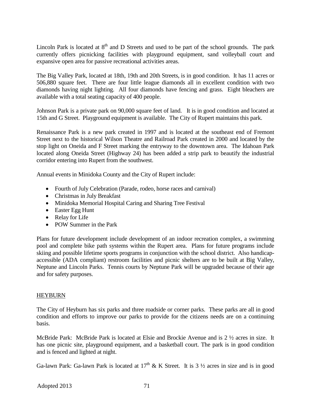Lincoln Park is located at  $8<sup>th</sup>$  and D Streets and used to be part of the school grounds. The park currently offers picnicking facilities with playground equipment, sand volleyball court and expansive open area for passive recreational activities areas.

The Big Valley Park, located at 18th, 19th and 20th Streets, is in good condition. It has 11 acres or 506,880 square feet. There are four little league diamonds all in excellent condition with two diamonds having night lighting. All four diamonds have fencing and grass. Eight bleachers are available with a total seating capacity of 400 people.

Johnson Park is a private park on 90,000 square feet of land. It is in good condition and located at 15th and G Street. Playground equipment is available. The City of Rupert maintains this park.

Renaissance Park is a new park created in 1997 and is located at the southeast end of Fremont Street next to the historical Wilson Theatre and Railroad Park created in 2000 and located by the stop light on Oneida and F Street marking the entryway to the downtown area. The Idahoan Park located along Oneida Street (Highway 24) has been added a strip park to beautify the industrial corridor entering into Rupert from the southwest.

Annual events in Minidoka County and the City of Rupert include:

- Fourth of July Celebration (Parade, rodeo, horse races and carnival)
- Christmas in July Breakfast
- Minidoka Memorial Hospital Caring and Sharing Tree Festival
- Easter Egg Hunt
- Relay for Life
- POW Summer in the Park

Plans for future development include development of an indoor recreation complex, a swimming pool and complete bike path systems within the Rupert area. Plans for future programs include skiing and possible lifetime sports programs in conjunction with the school district. Also handicapaccessible (ADA compliant) restroom facilities and picnic shelters are to be built at Big Valley, Neptune and Lincoln Parks. Tennis courts by Neptune Park will be upgraded because of their age and for safety purposes.

## **HEYBURN**

The City of Heyburn has six parks and three roadside or corner parks. These parks are all in good condition and efforts to improve our parks to provide for the citizens needs are on a continuing basis.

McBride Park: McBride Park is located at Elsie and Brockie Avenue and is 2 ½ acres in size. It has one picnic site, playground equipment, and a basketball court. The park is in good condition and is fenced and lighted at night.

Ga-lawn Park: Ga-lawn Park is located at  $17<sup>th</sup>$  & K Street. It is 3  $\frac{1}{2}$  acres in size and is in good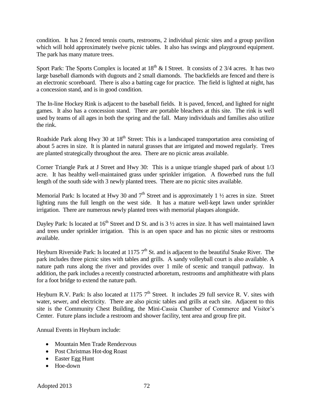condition. It has 2 fenced tennis courts, restrooms, 2 individual picnic sites and a group pavilion which will hold approximately twelve picnic tables. It also has swings and playground equipment. The park has many mature trees.

Sport Park: The Sports Complex is located at  $18<sup>th</sup>$  & I Street. It consists of 2 3/4 acres. It has two large baseball diamonds with dugouts and 2 small diamonds. The backfields are fenced and there is an electronic scoreboard. There is also a batting cage for practice. The field is lighted at night, has a concession stand, and is in good condition.

The In-line Hockey Rink is adjacent to the baseball fields. It is paved, fenced, and lighted for night games. It also has a concession stand. There are portable bleachers at this site. The rink is well used by teams of all ages in both the spring and the fall. Many individuals and families also utilize the rink.

Roadside Park along Hwy 30 at 18<sup>th</sup> Street: This is a landscaped transportation area consisting of about 5 acres in size. It is planted in natural grasses that are irrigated and mowed regularly. Trees are planted strategically throughout the area. There are no picnic areas available.

Corner Triangle Park at J Street and Hwy 30: This is a unique triangle shaped park of about 1/3 acre. It has healthy well-maintained grass under sprinkler irrigation. A flowerbed runs the full length of the south side with 3 newly planted trees. There are no picnic sites available.

Memorial Park: Is located at Hwy 30 and  $7<sup>th</sup>$  Street and is approximately 1  $\frac{1}{2}$  acres in size. Street lighting runs the full length on the west side. It has a mature well-kept lawn under sprinkler irrigation. There are numerous newly planted trees with memorial plaques alongside.

Dayley Park: Is located at  $16^{th}$  Street and D St. and is  $3\frac{1}{2}$  acres in size. It has well maintained lawn and trees under sprinkler irrigation. This is an open space and has no picnic sites or restrooms available.

Heyburn Riverside Park: Is located at 1175  $7<sup>th</sup>$  St. and is adjacent to the beautiful Snake River. The park includes three picnic sites with tables and grills. A sandy volleyball court is also available. A nature path runs along the river and provides over 1 mile of scenic and tranquil pathway. In addition, the park includes a recently constructed arboretum, restrooms and amphitheatre with plans for a foot bridge to extend the nature path.

Heyburn R.V. Park: Is also located at 1175  $7<sup>th</sup>$  Street. It includes 29 full service R.V. sites with water, sewer, and electricity. There are also picnic tables and grills at each site. Adjacent to this site is the Community Chest Building, the Mini-Cassia Chamber of Commerce and Visitor's Center. Future plans include a restroom and shower facility, tent area and group fire pit.

Annual Events in Heyburn include:

- Mountain Men Trade Rendezvous
- Post Christmas Hot-dog Roast
- Easter Egg Hunt
- Hoe-down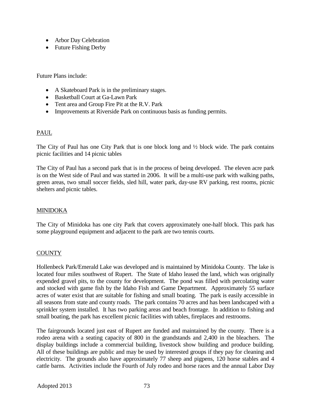- Arbor Day Celebration
- Future Fishing Derby

Future Plans include:

- A Skateboard Park is in the preliminary stages.
- Basketball Court at Ga-Lawn Park
- Tent area and Group Fire Pit at the R.V. Park
- Improvements at Riverside Park on continuous basis as funding permits.

# PAUL

The City of Paul has one City Park that is one block long and ½ block wide. The park contains picnic facilities and 14 picnic tables

The City of Paul has a second park that is in the process of being developed. The eleven acre park is on the West side of Paul and was started in 2006. It will be a multi-use park with walking paths, green areas, two small soccer fields, sled hill, water park, day-use RV parking, rest rooms, picnic shelters and picnic tables.

# MINIDOKA

The City of Minidoka has one city Park that covers approximately one-half block. This park has some playground equipment and adjacent to the park are two tennis courts.

# COUNTY

Hollenbeck Park/Emerald Lake was developed and is maintained by Minidoka County. The lake is located four miles southwest of Rupert. The State of Idaho leased the land, which was originally expended gravel pits, to the county for development. The pond was filled with percolating water and stocked with game fish by the Idaho Fish and Game Department. Approximately 55 surface acres of water exist that are suitable for fishing and small boating. The park is easily accessible in all seasons from state and county roads. The park contains 70 acres and has been landscaped with a sprinkler system installed. It has two parking areas and beach frontage. In addition to fishing and small boating, the park has excellent picnic facilities with tables, fireplaces and restrooms.

The fairgrounds located just east of Rupert are funded and maintained by the county. There is a rodeo arena with a seating capacity of 800 in the grandstands and 2,400 in the bleachers. The display buildings include a commercial building, livestock show building and produce building. All of these buildings are public and may be used by interested groups if they pay for cleaning and electricity. The grounds also have approximately 77 sheep and pigpens, 120 horse stables and 4 cattle barns. Activities include the Fourth of July rodeo and horse races and the annual Labor Day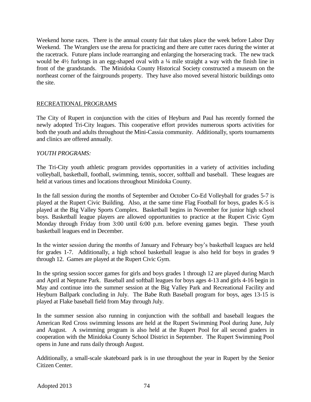Weekend horse races. There is the annual county fair that takes place the week before Labor Day Weekend. The Wranglers use the arena for practicing and there are cutter races during the winter at the racetrack. Future plans include rearranging and enlarging the horseracing track. The new track would be 4½ furlongs in an egg-shaped oval with a ¼ mile straight a way with the finish line in front of the grandstands. The Minidoka County Historical Society constructed a museum on the northeast corner of the fairgrounds property. They have also moved several historic buildings onto the site.

#### RECREATIONAL PROGRAMS

The City of Rupert in conjunction with the cities of Heyburn and Paul has recently formed the newly adopted Tri-City leagues. This cooperative effort provides numerous sports activities for both the youth and adults throughout the Mini-Cassia community. Additionally, sports tournaments and clinics are offered annually.

#### *YOUTH PROGRAMS:*

The Tri-City youth athletic program provides opportunities in a variety of activities including volleyball, basketball, football, swimming, tennis, soccer, softball and baseball. These leagues are held at various times and locations throughout Minidoka County.

In the fall session during the months of September and October Co-Ed Volleyball for grades 5-7 is played at the Rupert Civic Building. Also, at the same time Flag Football for boys, grades K-5 is played at the Big Valley Sports Complex. Basketball begins in November for junior high school boys. Basketball league players are allowed opportunities to practice at the Rupert Civic Gym Monday through Friday from 3:00 until 6:00 p.m. before evening games begin. These youth basketball leagues end in December.

In the winter session during the months of January and February boy's basketball leagues are held for grades 1-7. Additionally, a high school basketball league is also held for boys in grades 9 through 12. Games are played at the Rupert Civic Gym.

In the spring session soccer games for girls and boys grades 1 through 12 are played during March and April at Neptune Park. Baseball and softball leagues for boys ages 4-13 and girls 4-16 begin in May and continue into the summer session at the Big Valley Park and Recreational Facility and Heyburn Ballpark concluding in July. The Babe Ruth Baseball program for boys, ages 13-15 is played at Flake baseball field from May through July.

In the summer session also running in conjunction with the softball and baseball leagues the American Red Cross swimming lessons are held at the Rupert Swimming Pool during June, July and August. A swimming program is also held at the Rupert Pool for all second graders in cooperation with the Minidoka County School District in September. The Rupert Swimming Pool opens in June and runs daily through August.

Additionally, a small-scale skateboard park is in use throughout the year in Rupert by the Senior Citizen Center.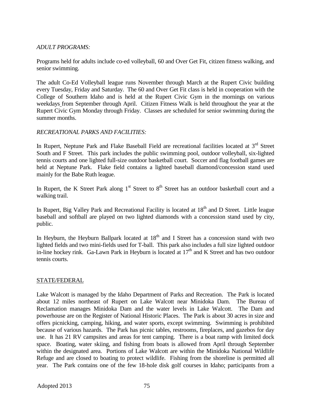#### *ADULT PROGRAMS:*

Programs held for adults include co-ed volleyball, 60 and Over Get Fit, citizen fitness walking, and senior swimming.

The adult Co-Ed Volleyball league runs November through March at the Rupert Civic building every Tuesday, Friday and Saturday. The 60 and Over Get Fit class is held in cooperation with the College of Southern Idaho and is held at the Rupert Civic Gym in the mornings on various weekdays from September through April. Citizen Fitness Walk is held throughout the year at the Rupert Civic Gym Monday through Friday. Classes are scheduled for senior swimming during the summer months.

#### *RECREATIONAL PARKS AND FACILITIES:*

In Rupert, Neptune Park and Flake Baseball Field are recreational facilities located at 3<sup>rd</sup> Street South and F Street. This park includes the public swimming pool, outdoor volleyball, six-lighted tennis courts and one lighted full-size outdoor basketball court. Soccer and flag football games are held at Neptune Park. Flake field contains a lighted baseball diamond/concession stand used mainly for the Babe Ruth league.

In Rupert, the K Street Park along 1<sup>st</sup> Street to 8<sup>th</sup> Street has an outdoor basketball court and a walking trail.

In Rupert, Big Valley Park and Recreational Facility is located at 18<sup>th</sup> and D Street. Little league baseball and softball are played on two lighted diamonds with a concession stand used by city, public.

In Heyburn, the Heyburn Ballpark located at  $18<sup>th</sup>$  and I Street has a concession stand with two lighted fields and two mini-fields used for T-ball. This park also includes a full size lighted outdoor in-line hockey rink. Ga-Lawn Park in Heyburn is located at  $17<sup>th</sup>$  and K Street and has two outdoor tennis courts.

# STATE/FEDERAL

Lake Walcott is managed by the Idaho Department of Parks and Recreation. The Park is located about 12 miles northeast of Rupert on Lake Walcott near Minidoka Dam. The Bureau of Reclamation manages Minidoka Dam and the water levels in Lake Walcott. The Dam and powerhouse are on the Register of National Historic Places. The Park is about 30 acres in size and offers picnicking, camping, hiking, and water sports, except swimming. Swimming is prohibited because of various hazards. The Park has picnic tables, restrooms, fireplaces, and gazebos for day use. It has 21 RV campsites and areas for tent camping. There is a boat ramp with limited dock space. Boating, water skiing, and fishing from boats is allowed from April through September within the designated area. Portions of Lake Walcott are within the Minidoka National Wildlife Refuge and are closed to boating to protect wildlife. Fishing from the shoreline is permitted all year. The Park contains one of the few 18-hole disk golf courses in Idaho; participants from a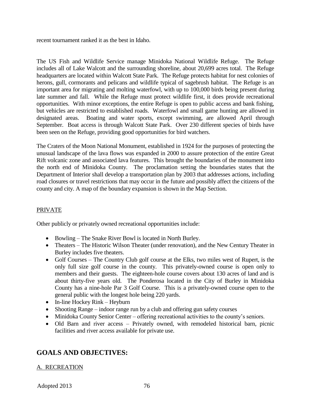recent tournament ranked it as the best in Idaho.

The US Fish and Wildlife Service manage Minidoka National Wildlife Refuge. The Refuge includes all of Lake Walcott and the surrounding shoreline, about 20,699 acres total. The Refuge headquarters are located within Walcott State Park. The Refuge protects habitat for nest colonies of herons, gull, cormorants and pelicans and wildlife typical of sagebrush habitat. The Refuge is an important area for migrating and molting waterfowl, with up to 100,000 birds being present during late summer and fall. While the Refuge must protect wildlife first, it does provide recreational opportunities. With minor exceptions, the entire Refuge is open to public access and bank fishing, but vehicles are restricted to established roads. Waterfowl and small game hunting are allowed in designated areas. Boating and water sports, except swimming, are allowed April through September. Boat access is through Walcott State Park. Over 230 different species of birds have been seen on the Refuge, providing good opportunities for bird watchers.

The Craters of the Moon National Monument, established in 1924 for the purposes of protecting the unusual landscape of the lava flows was expanded in 2000 to assure protection of the entire Great Rift volcanic zone and associated lava features. This brought the boundaries of the monument into the north end of Minidoka County. The proclamation setting the boundaries states that the Department of Interior shall develop a transportation plan by 2003 that addresses actions, including road closures or travel restrictions that may occur in the future and possibly affect the citizens of the county and city. A map of the boundary expansion is shown in the Map Section.

# PRIVATE

Other publicly or privately owned recreational opportunities include:

- Bowling The Snake River Bowl is located in North Burley.
- Theaters The Historic Wilson Theater (under renovation), and the New Century Theater in Burley includes five theaters.
- Golf Courses The Country Club golf course at the Elks, two miles west of Rupert, is the only full size golf course in the county. This privately-owned course is open only to members and their guests. The eighteen-hole course covers about 130 acres of land and is about thirty-five years old. The Ponderosa located in the City of Burley in Minidoka County has a nine-hole Par 3 Golf Course. This is a privately-owned course open to the general public with the longest hole being 220 yards.
- In-line Hockey Rink Heyburn
- Shooting Range indoor range run by a club and offering gun safety courses
- Minidoka County Senior Center offering recreational activities to the county's seniors.
- Old Barn and river access Privately owned, with remodeled historical barn, picnic facilities and river access available for private use.

# **GOALS AND OBJECTIVES:**

#### A. RECREATION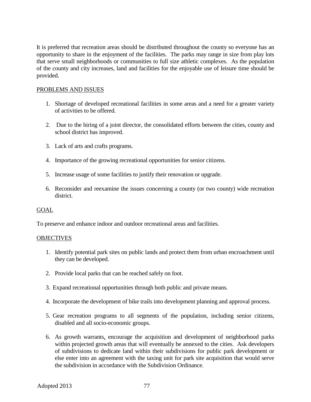It is preferred that recreation areas should be distributed throughout the county so everyone has an opportunity to share in the enjoyment of the facilities. The parks may range in size from play lots that serve small neighborhoods or communities to full size athletic complexes. As the population of the county and city increases, land and facilities for the enjoyable use of leisure time should be provided.

#### PROBLEMS AND ISSUES

- 1. Shortage of developed recreational facilities in some areas and a need for a greater variety of activities to be offered.
- 2. Due to the hiring of a joint director, the consolidated efforts between the cities, county and school district has improved.
- 3. Lack of arts and crafts programs.
- 4. Importance of the growing recreational opportunities for senior citizens.
- 5. Increase usage of some facilities to justify their renovation or upgrade.
- 6. Reconsider and reexamine the issues concerning a county (or two county) wide recreation district.

#### GOAL

To preserve and enhance indoor and outdoor recreational areas and facilities.

#### **OBJECTIVES**

- 1. Identify potential park sites on public lands and protect them from urban encroachment until they can be developed.
- 2. Provide local parks that can be reached safely on foot.
- 3. Expand recreational opportunities through both public and private means.
- 4. Incorporate the development of bike trails into development planning and approval process.
- 5. Gear recreation programs to all segments of the population, including senior citizens, disabled and all socio-economic groups.
- 6. As growth warrants, encourage the acquisition and development of neighborhood parks within projected growth areas that will eventually be annexed to the cities. Ask developers of subdivisions to dedicate land within their subdivisions for public park development or else enter into an agreement with the taxing unit for park site acquisition that would serve the subdivision in accordance with the Subdivision Ordinance.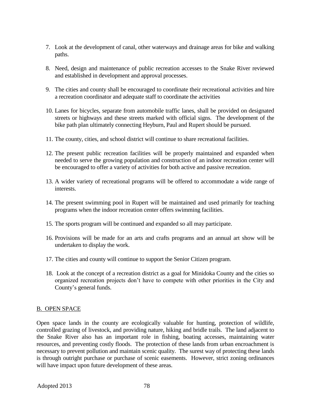- 7. Look at the development of canal, other waterways and drainage areas for bike and walking paths.
- 8. Need, design and maintenance of public recreation accesses to the Snake River reviewed and established in development and approval processes.
- 9. The cities and county shall be encouraged to coordinate their recreational activities and hire a recreation coordinator and adequate staff to coordinate the activities
- 10. Lanes for bicycles, separate from automobile traffic lanes, shall be provided on designated streets or highways and these streets marked with official signs. The development of the bike path plan ultimately connecting Heyburn, Paul and Rupert should be pursued.
- 11. The county, cities, and school district will continue to share recreational facilities.
- 12. The present public recreation facilities will be properly maintained and expanded when needed to serve the growing population and construction of an indoor recreation center will be encouraged to offer a variety of activities for both active and passive recreation.
- 13. A wider variety of recreational programs will be offered to accommodate a wide range of interests.
- 14. The present swimming pool in Rupert will be maintained and used primarily for teaching programs when the indoor recreation center offers swimming facilities.
- 15. The sports program will be continued and expanded so all may participate.
- 16. Provisions will be made for an arts and crafts programs and an annual art show will be undertaken to display the work.
- 17. The cities and county will continue to support the Senior Citizen program.
- 18. Look at the concept of a recreation district as a goal for Minidoka County and the cities so organized recreation projects don't have to compete with other priorities in the City and County's general funds.

# B. OPEN SPACE

Open space lands in the county are ecologically valuable for hunting, protection of wildlife, controlled grazing of livestock, and providing nature, hiking and bridle trails. The land adjacent to the Snake River also has an important role in fishing, boating accesses, maintaining water resources, and preventing costly floods. The protection of these lands from urban encroachment is necessary to prevent pollution and maintain scenic quality. The surest way of protecting these lands is through outright purchase or purchase of scenic easements. However, strict zoning ordinances will have impact upon future development of these areas.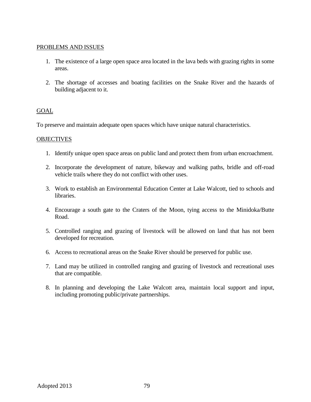#### PROBLEMS AND ISSUES

- 1. The existence of a large open space area located in the lava beds with grazing rights in some areas.
- 2. The shortage of accesses and boating facilities on the Snake River and the hazards of building adjacent to it.

# GOAL

To preserve and maintain adequate open spaces which have unique natural characteristics.

#### **OBJECTIVES**

- 1. Identify unique open space areas on public land and protect them from urban encroachment.
- 2. Incorporate the development of nature, bikeway and walking paths, bridle and off-road vehicle trails where they do not conflict with other uses.
- 3. Work to establish an Environmental Education Center at Lake Walcott, tied to schools and libraries.
- 4. Encourage a south gate to the Craters of the Moon, tying access to the Minidoka/Butte Road.
- 5. Controlled ranging and grazing of livestock will be allowed on land that has not been developed for recreation.
- 6. Access to recreational areas on the Snake River should be preserved for public use.
- 7. Land may be utilized in controlled ranging and grazing of livestock and recreational uses that are compatible.
- 8. In planning and developing the Lake Walcott area, maintain local support and input, including promoting public/private partnerships.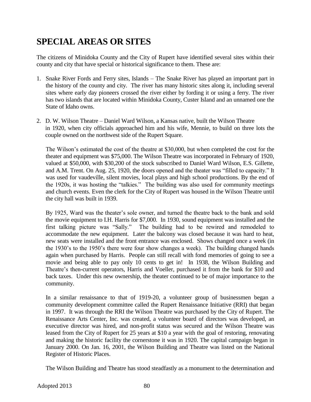# **SPECIAL AREAS OR SITES**

The citizens of Minidoka County and the City of Rupert have identified several sites within their county and city that have special or historical significance to them. These are:

- 1. Snake River Fords and Ferry sites, Islands The Snake River has played an important part in the history of the county and city. The river has many historic sites along it, including several sites where early day pioneers crossed the river either by fording it or using a ferry. The river has two islands that are located within Minidoka County, Custer Island and an unnamed one the State of Idaho owns.
- 2. D. W. Wilson Theatre Daniel Ward Wilson, a Kansas native, built the Wilson Theatre in 1920, when city officials approached him and his wife, Mennie, to build on three lots the couple owned on the northwest side of the Rupert Square.

The Wilson's estimated the cost of the theatre at \$30,000, but when completed the cost for the theater and equipment was \$75,000. The Wilson Theatre was incorporated in February of 1920, valued at \$50,000, with \$30,200 of the stock subscribed to Daniel Ward Wilson, E.S. Gillette, and A.M. Trent. On Aug. 25, 1920, the doors opened and the theater was "filled to capacity." It was used for vaudeville, silent movies, local plays and high school productions. By the end of the 1920s, it was hosting the "talkies." The building was also used for community meetings and church events. Even the clerk for the City of Rupert was housed in the Wilson Theatre until the city hall was built in 1939.

By 1925, Ward was the theater's sole owner, and turned the theatre back to the bank and sold the movie equipment to I.H. Harris for \$7,000. In 1930, sound equipment was installed and the first talking picture was "Sally." The building had to be rewired and remodeled to accommodate the new equipment. Later the balcony was closed because it was hard to heat, new seats were installed and the front entrance was enclosed. Shows changed once a week (in the 1930's to the 1950's there were four show changes a week). The building changed hands again when purchased by Harris. People can still recall with fond memories of going to see a movie and being able to pay only 10 cents to get in! In 1938, the Wilson Building and Theatre's then-current operators, Harris and Voeller, purchased it from the bank for \$10 and back taxes. Under this new ownership, the theater continued to be of major importance to the community.

In a similar renaissance to that of 1919-20, a volunteer group of businessmen began a community development committee called the Rupert Renaissance Initiative (RRI) that began in 1997. It was through the RRI the Wilson Theatre was purchased by the City of Rupert. The Renaissance Arts Center, Inc. was created, a volunteer board of directors was developed, an executive director was hired, and non-profit status was secured and the Wilson Theatre was leased from the City of Rupert for 25 years at \$10 a year with the goal of restoring, renovating and making the historic facility the cornerstone it was in 1920. The capital campaign began in January 2000. On Jan. 16, 2001, the Wilson Building and Theatre was listed on the National Register of Historic Places.

The Wilson Building and Theatre has stood steadfastly as a monument to the determination and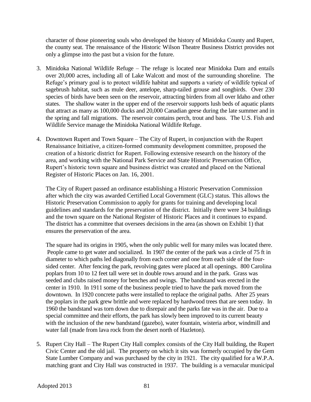character of those pioneering souls who developed the history of Minidoka County and Rupert, the county seat. The renaissance of the Historic Wilson Theatre Business District provides not only a glimpse into the past but a vision for the future.

- 3. Minidoka National Wildlife Refuge The refuge is located near Minidoka Dam and entails over 20,000 acres, including all of Lake Walcott and most of the surrounding shoreline. The Refuge's primary goal is to protect wildlife habitat and supports a variety of wildlife typical of sagebrush habitat, such as mule deer, antelope, sharp-tailed grouse and songbirds. Over 230 species of birds have been seen on the reservoir, attracting birders from all over Idaho and other states. The shallow water in the upper end of the reservoir supports lush beds of aquatic plants that attract as many as 100,000 ducks and 20,000 Canadian geese during the late summer and in the spring and fall migrations. The reservoir contains perch, trout and bass. The U.S. Fish and Wildlife Service manage the Minidoka National Wildlife Refuge.
- 4. Downtown Rupert and Town Square The City of Rupert, in conjunction with the Rupert Renaissance Initiative, a citizen-formed community development committee, proposed the creation of a historic district for Rupert. Following extensive research on the history of the area, and working with the National Park Service and State Historic Preservation Office, Rupert's historic town square and business district was created and placed on the National Register of Historic Places on Jan. 16, 2001.

The City of Rupert passed an ordinance establishing a Historic Preservation Commission after which the city was awarded Certified Local Government (GLC) status. This allows the Historic Preservation Commission to apply for grants for training and developing local guidelines and standards for the preservation of the district. Initially there were 34 buildings and the town square on the National Register of Historic Places and it continues to expand. The district has a committee that oversees decisions in the area (as shown on Exhibit 1) that ensures the preservation of the area.

The square had its origins in 1905, when the only public well for many miles was located there. People came to get water and socialized. In 1907 the center of the park was a circle of 75 ft in diameter to which paths led diagonally from each corner and one from each side of the foursided center. After fencing the park, revolving gates were placed at all openings. 800 Carolina poplars from 10 to 12 feet tall were set in double rows around and in the park. Grass was seeded and clubs raised money for benches and swings. The bandstand was erected in the center in 1910. In 1911 some of the business people tried to have the park moved from the downtown. In 1920 concrete paths were installed to replace the original paths. After 25 years the poplars in the park grew brittle and were replaced by hardwood trees that are seen today. In 1960 the bandstand was torn down due to disrepair and the parks fate was in the air. Due to a special committee and their efforts, the park has slowly been improved to its current beauty with the inclusion of the new bandstand (gazebo), water fountain, wisteria arbor, windmill and water fall (made from lava rock from the desert north of Hazleton).

5. Rupert City Hall – The Rupert City Hall complex consists of the City Hall building, the Rupert Civic Center and the old jail. The property on which it sits was formerly occupied by the Gem State Lumber Company and was purchased by the city in 1921. The city qualified for a W.P.A. matching grant and City Hall was constructed in 1937. The building is a vernacular municipal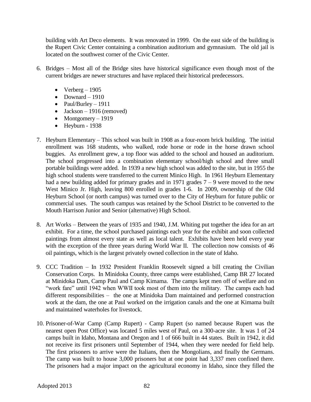building with Art Deco elements. It was renovated in 1999. On the east side of the building is the Rupert Civic Center containing a combination auditorium and gymnasium. The old jail is located on the southwest corner of the Civic Center.

- 6. Bridges Most all of the Bridge sites have historical significance even though most of the current bridges are newer structures and have replaced their historical predecessors.
	- Verberg  $-1905$
	- $\bullet$  Downard 1910
	- Paul/Burley  $-1911$
	- $\bullet$  Jackson 1916 (removed)
	- $\bullet$  Montgomery 1919
	- $\bullet$  Heyburn 1938
- 7. Heyburn Elementary This school was built in 1908 as a four-room brick building. The initial enrollment was 168 students, who walked, rode horse or rode in the horse drawn school buggies. As enrollment grew, a top floor was added to the school and housed an auditorium. The school progressed into a combination elementary school/high school and three small portable buildings were added. In 1939 a new high school was added to the site, but in 1955 the high school students were transferred to the current Minico High. In 1961 Heyburn Elementary had a new building added for primary grades and in 1971 grades  $7 - 9$  were moved to the new West Minico Jr. High, leaving 800 enrolled in grades 1-6. In 2009, ownership of the Old Heyburn School (or north campus) was turned over to the City of Heyburn for future public or commercial uses. The south campus was retained by the School District to be converted to the Mouth Harrison Junior and Senior (alternative) High School.
- 8. Art Works Between the years of 1935 and 1940, J.M. Whiting put together the idea for an art exhibit. For a time, the school purchased paintings each year for the exhibit and soon collected paintings from almost every state as well as local talent. Exhibits have been held every year with the exception of the three years during World War II. The collection now consists of 46 oil paintings, which is the largest privately owned collection in the state of Idaho.
- 9. CCC Tradition In 1932 President Franklin Roosevelt signed a bill creating the Civilian Conservation Corps. In Minidoka County, three camps were established, Camp BR 27 located at Minidoka Dam, Camp Paul and Camp Kimama. The camps kept men off of welfare and on "work fare" until 1942 when WWII took most of them into the military. The camps each had different responsibilities – the one at Minidoka Dam maintained and performed construction work at the dam, the one at Paul worked on the irrigation canals and the one at Kimama built and maintained waterholes for livestock.
- 10. Prisoner-of-War Camp (Camp Rupert) Camp Rupert (so named because Rupert was the nearest open Post Office) was located 5 miles west of Paul, on a 300-acre site. It was 1 of 24 camps built in Idaho, Montana and Oregon and 1 of 666 built in 44 states. Built in 1942, it did not receive its first prisoners until September of 1944, when they were needed for field help. The first prisoners to arrive were the Italians, then the Mongolians, and finally the Germans. The camp was built to house 3,000 prisoners but at one point had 3,337 men confined there. The prisoners had a major impact on the agricultural economy in Idaho, since they filled the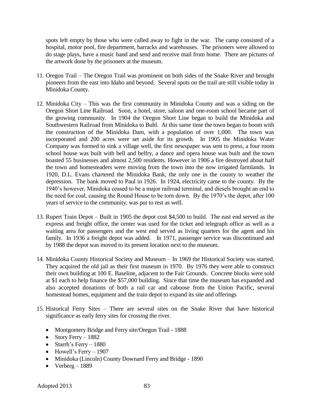spots left empty by those who were called away to fight in the war. The camp consisted of a hospital, motor pool, fire department, barracks and warehouses. The prisoners were allowed to do stage plays, have a music band and send and receive mail from home. There are pictures of the artwork done by the prisoners at the museum.

- 11. Oregon Trail The Oregon Trail was prominent on both sides of the Snake River and brought pioneers from the east into Idaho and beyond. Several spots on the trail are still visible today in Minidoka County.
- 12. Minidoka City This was the first community in Minidoka County and was a siding on the Oregon Short Line Railroad. Soon, a hotel, store, saloon and one-room school became part of the growing community. In 1904 the Oregon Short Line began to build the Minidoka and Southwestern Railroad from Minidoka to Buhl. At this same time the town began to boom with the construction of the Minidoka Dam, with a population of over 1,000. The town was incorporated and 200 acres were set aside for its growth. In 1905 the Minidoka Water Company was formed to sink a village well, the first newspaper was sent to press, a four room school house was built with bell and belfry, a dance and opera house was built and the town boasted 55 businesses and almost 2,500 residents. However in 1906 a fire destroyed about half the town and homesteaders were moving from the town into the now irrigated farmlands. In 1920, D.L. Evans chartered the Minidoka Bank, the only one in the county to weather the depression. The bank moved to Paul in 1926. In 1924, electricity came to the county. By the 1940's however, Minidoka ceased to be a major railroad terminal, and diesels brought an end to the need for coal, causing the Round House to be torn down. By the 1970's the depot, after 100 years of service to the community, was put to rest as well.
- 13. Rupert Train Depot Built in 1905 the depot cost \$4,500 to build. The east end served as the express and freight office, the center was used for the ticket and telegraph office as well as a waiting area for passengers and the west end served as living quarters for the agent and his family. In 1936 a freight depot was added. In 1971, passenger service was discontinued and by 1988 the depot was moved to its present location next to the museum.
- 14. Minidoka County Historical Society and Museum In 1969 the Historical Society was started. They acquired the old jail as their first museum in 1970. By 1976 they were able to construct their own building at 100 E. Baseline, adjacent to the Fair Grounds. Concrete blocks were sold at \$1 each to help finance the \$57,000 building. Since that time the museum has expanded and also accepted donations of both a rail car and caboose from the Union Pacific, several homestead homes, equipment and the train depot to expand its site and offerings
- 15. Historical Ferry Sites There are several sites on the Snake River that have historical significance as early ferry sites for crossing the river.
	- Montgomery Bridge and Ferry site/Oregon Trail 1888
	- $\bullet$  Story Ferry 1882
	- $\bullet$  Starrh's Ferry 1880
	- $\bullet$  Howell's Ferry 1907
	- Minidoka (Lincoln) County Downard Ferry and Bridge 1890
	- $\bullet$  Verberg 1889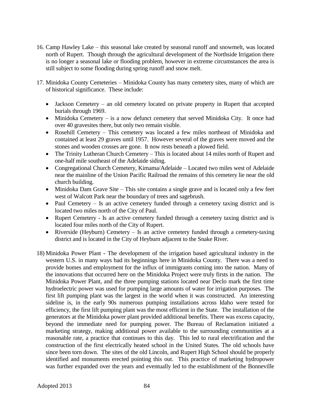- 16. Camp Hawley Lake this seasonal lake created by seasonal runoff and snowmelt, was located north of Rupert. Though through the agricultural development of the Northside Irrigation there is no longer a seasonal lake or flooding problem, however in extreme circumstances the area is still subject to some flooding during spring runoff and snow melt.
- 17. Minidoka County Cemeteries Minidoka County has many cemetery sites, many of which are of historical significance. These include:
	- Jackson Cemetery an old cemetery located on private property in Rupert that accepted burials through 1969.
	- Minidoka Cemetery is a now defunct cemetery that served Minidoka City. It once had over 40 gravesites there, but only two remain visible.
	- Rosehill Cemetery This cemetery was located a few miles northeast of Minidoka and contained at least 29 graves until 1957. However several of the graves were moved and the stones and wooden crosses are gone. It now rests beneath a plowed field.
	- The Trinity Lutheran Church Cemetery This is located about 14 miles north of Rupert and one-half mile southeast of the Adelaide siding.
	- Congregational Church Cemetery, Kimama/Adelaide Located two miles west of Adelaide near the mainline of the Union Pacific Railroad the remains of this cemetery lie near the old church building.
	- Minidoka Dam Grave Site This site contains a single grave and is located only a few feet west of Walcott Park near the boundary of trees and sagebrush.
	- Paul Cemetery Is an active cemetery funded through a cemetery taxing district and is located two miles north of the City of Paul.
	- Rupert Cemetery Is an active cemetery funded through a cemetery taxing district and is located four miles north of the City of Rupert.
	- Riverside (Heyburn) Cemetery Is an active cemetery funded through a cemetery-taxing district and is located in the City of Heyburn adjacent to the Snake River.
- 18) Minidoka Power Plant The development of the irrigation based agricultural industry in the western U.S. in many ways had its beginnings here in Minidoka County. There was a need to provide homes and employment for the influx of immigrants coming into the nation. Many of the innovations that occurred here on the Minidoka Project were truly firsts in the nation. The Minidoka Power Plant, and the three pumping stations located near Declo mark the first time hydroelectric power was used for pumping large amounts of water for irrigation purposes. The first lift pumping plant was the largest in the world when it was constructed. An interesting sideline is, in the early 90s numerous pumping installations across Idaho were tested for efficiency, the first lift pumping plant was the most efficient in the State. The installation of the generators at the Minidoka power plant provided additional benefits. There was excess capacity, beyond the immediate need for pumping power. The Bureau of Reclamation initiated a marketing strategy, making additional power available to the surrounding communities at a reasonable rate, a practice that continues to this day. This led to rural electrification and the construction of the first electrically heated school in the United States. The old schools have since been torn down. The sites of the old Lincoln, and Rupert High School should be properly identified and monuments erected pointing this out. This practice of marketing hydropower was further expanded over the years and eventually led to the establishment of the Bonneville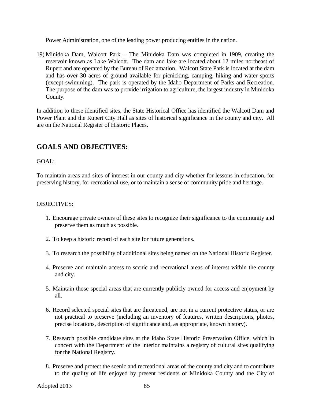Power Administration, one of the leading power producing entities in the nation.

19) Minidoka Dam, Walcott Park – The Minidoka Dam was completed in 1909, creating the reservoir known as Lake Walcott. The dam and lake are located about 12 miles northeast of Rupert and are operated by the Bureau of Reclamation. Walcott State Park is located at the dam and has over 30 acres of ground available for picnicking, camping, hiking and water sports (except swimming). The park is operated by the Idaho Department of Parks and Recreation. The purpose of the dam was to provide irrigation to agriculture, the largest industry in Minidoka County.

In addition to these identified sites, the State Historical Office has identified the Walcott Dam and Power Plant and the Rupert City Hall as sites of historical significance in the county and city. All are on the National Register of Historic Places.

# **GOALS AND OBJECTIVES:**

# GOAL:

To maintain areas and sites of interest in our county and city whether for lessons in education, for preserving history, for recreational use, or to maintain a sense of community pride and heritage.

# OBJECTIVES**:**

- 1. Encourage private owners of these sites to recognize their significance to the community and preserve them as much as possible.
- 2. To keep a historic record of each site for future generations.
- 3. To research the possibility of additional sites being named on the National Historic Register.
- 4. Preserve and maintain access to scenic and recreational areas of interest within the county and city.
- 5. Maintain those special areas that are currently publicly owned for access and enjoyment by all.
- 6. Record selected special sites that are threatened, are not in a current protective status, or are not practical to preserve (including an inventory of features, written descriptions, photos, precise locations, description of significance and, as appropriate, known history).
- 7. Research possible candidate sites at the Idaho State Historic Preservation Office, which in concert with the Department of the Interior maintains a registry of cultural sites qualifying for the National Registry.
- 8. Preserve and protect the scenic and recreational areas of the county and city and to contribute to the quality of life enjoyed by present residents of Minidoka County and the City of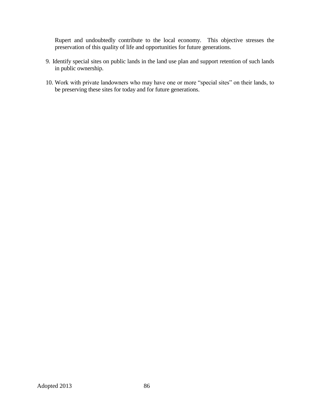Rupert and undoubtedly contribute to the local economy. This objective stresses the preservation of this quality of life and opportunities for future generations.

- 9. Identify special sites on public lands in the land use plan and support retention of such lands in public ownership.
- 10. Work with private landowners who may have one or more "special sites" on their lands, to be preserving these sites for today and for future generations.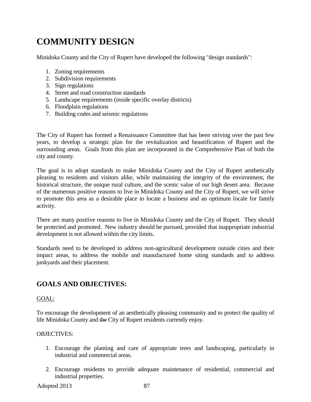# **COMMUNITY DESIGN**

Minidoka County and the City of Rupert have developed the following "design standards":

- 1. Zoning requirements
- 2. Subdivision requirements
- 3. Sign regulations
- 4. Street and road construction standards
- 5. Landscape requirements (inside specific overlay districts)
- 6. Floodplain regulations
- 7. Building codes and seismic regulations

The City of Rupert has formed a Renaissance Committee that has been striving over the past few years, to develop a strategic plan for the revitalization and beautification of Rupert and the surrounding areas. Goals from this plan are incorporated in the Comprehensive Plan of both the city and county.

The goal is to adopt standards to make Minidoka County and the City of Rupert aesthetically pleasing to residents and visitors alike, while maintaining the integrity of the environment, the historical structure, the unique rural culture, and the scenic value of our high desert area. Because of the numerous positive reasons to live in Minidoka County and the City of Rupert, we will strive to promote this area as a desirable place to locate a business and an optimum locale for family activity.

There are many positive reasons to live in Minidoka County and the City of Rupert. They should be protected and promoted. New industry should be pursued, provided that inappropriate industrial development is not allowed within the city limits.

Standards need to be developed to address non-agricultural development outside cities and their impact areas, to address the mobile and manufactured home siting standards and to address junkyards and their placement.

# **GOALS AND OBJECTIVES:**

# GOAL:

To encourage the development of an aesthetically pleasing community and to protect the quality of life Minidoka County and the City of Rupert residents currently enjoy.

# OBJECTIVES:

- 1. Encourage the planting and care of appropriate trees and landscaping, particularly in industrial and commercial areas.
- 2. Encourage residents to provide adequate maintenance of residential, commercial and industrial properties.